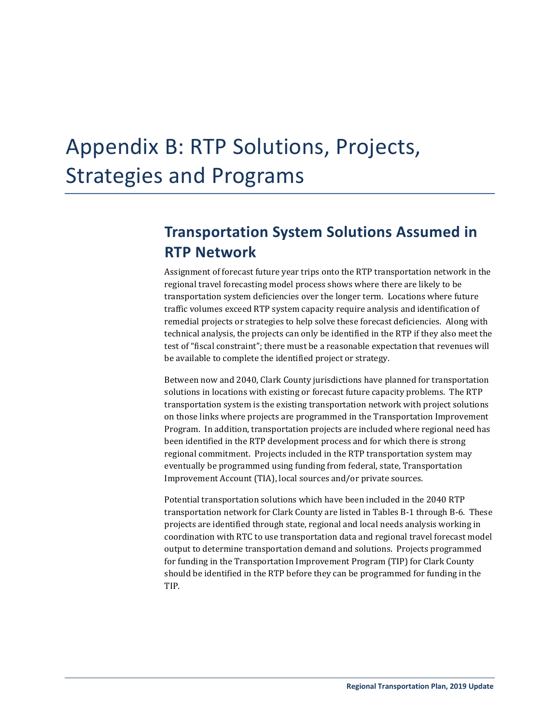# Appendix B: RTP Solutions, Projects, Strategies and Programs

# **Transportation System Solutions Assumed in RTP Network**

Assignment of forecast future year trips onto the RTP transportation network in the regional travel forecasting model process shows where there are likely to be transportation system deficiencies over the longer term. Locations where future traffic volumes exceed RTP system capacity require analysis and identification of remedial projects or strategies to help solve these forecast deficiencies. Along with technical analysis, the projects can only be identified in the RTP if they also meet the test of "fiscal constraint"; there must be a reasonable expectation that revenues will be available to complete the identified project or strategy.

Between now and 2040, Clark County jurisdictions have planned for transportation solutions in locations with existing or forecast future capacity problems. The RTP transportation system is the existing transportation network with project solutions on those links where projects are programmed in the Transportation Improvement Program. In addition, transportation projects are included where regional need has been identified in the RTP development process and for which there is strong regional commitment. Projects included in the RTP transportation system may eventually be programmed using funding from federal, state, Transportation Improvement Account (TIA), local sources and/or private sources.

Potential transportation solutions which have been included in the 2040 RTP transportation network for Clark County are listed in Tables B-1 through B-6. These projects are identified through state, regional and local needs analysis working in coordination with RTC to use transportation data and regional travel forecast model output to determine transportation demand and solutions. Projects programmed for funding in the Transportation Improvement Program (TIP) for Clark County should be identified in the RTP before they can be programmed for funding in the TIP.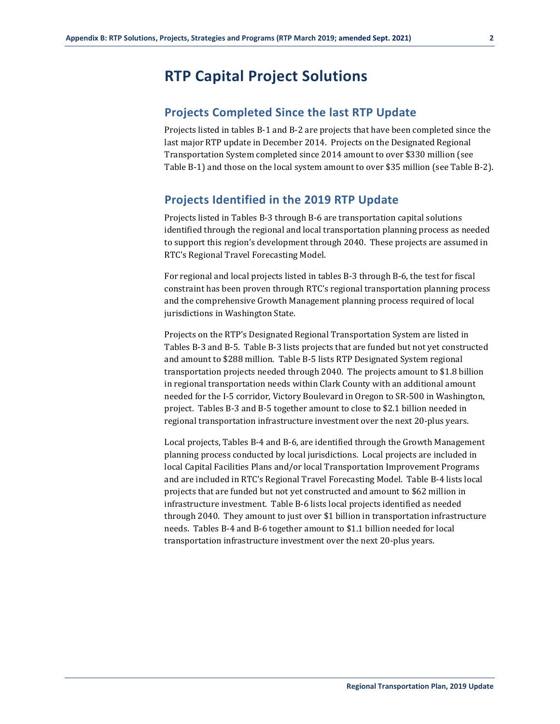# **RTP Capital Project Solutions**

## **Projects Completed Since the last RTP Update**

Projects listed in tables B-1 and B-2 are projects that have been completed since the last major RTP update in December 2014. Projects on the Designated Regional Transportation System completed since 2014 amount to over \$330 million (see Table B-1) and those on the local system amount to over \$35 million (see Table B-2).

## **Projects Identified in the 2019 RTP Update**

Projects listed in Tables B-3 through B-6 are transportation capital solutions identified through the regional and local transportation planning process as needed to support this region's development through 2040. These projects are assumed in RTC's Regional Travel Forecasting Model.

For regional and local projects listed in tables B-3 through B-6, the test for fiscal constraint has been proven through RTC's regional transportation planning process and the comprehensive Growth Management planning process required of local jurisdictions in Washington State.

Projects on the RTP's Designated Regional Transportation System are listed in Tables B-3 and B-5. Table B-3 lists projects that are funded but not yet constructed and amount to \$288 million. Table B-5 lists RTP Designated System regional transportation projects needed through 2040. The projects amount to \$1.8 billion in regional transportation needs within Clark County with an additional amount needed for the I-5 corridor, Victory Boulevard in Oregon to SR-500 in Washington, project. Tables B-3 and B-5 together amount to close to \$2.1 billion needed in regional transportation infrastructure investment over the next 20-plus years.

Local projects, Tables B-4 and B-6, are identified through the Growth Management planning process conducted by local jurisdictions. Local projects are included in local Capital Facilities Plans and/or local Transportation Improvement Programs and are included in RTC's Regional Travel Forecasting Model. Table B-4 lists local projects that are funded but not yet constructed and amount to \$62 million in infrastructure investment. Table B-6 lists local projects identified as needed through 2040. They amount to just over \$1 billion in transportation infrastructure needs. Tables B-4 and B-6 together amount to \$1.1 billion needed for local transportation infrastructure investment over the next 20-plus years.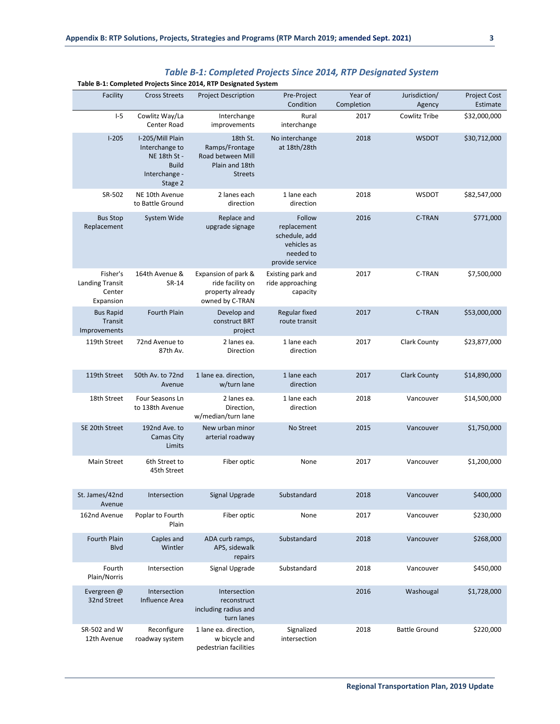|                                                           |                                                                                                | Table B-1: Completed Projects Since 2014, KTP Designated System                     |                                                                                       |                       |                         |                          |
|-----------------------------------------------------------|------------------------------------------------------------------------------------------------|-------------------------------------------------------------------------------------|---------------------------------------------------------------------------------------|-----------------------|-------------------------|--------------------------|
| Facility                                                  | <b>Cross Streets</b>                                                                           | <b>Project Description</b>                                                          | Pre-Project<br>Condition                                                              | Year of<br>Completion | Jurisdiction/<br>Agency | Project Cost<br>Estimate |
| $I-5$                                                     | Cowlitz Way/La<br>Center Road                                                                  | Interchange<br>improvements                                                         | Rural<br>interchange                                                                  | 2017                  | Cowlitz Tribe           | \$32,000,000             |
| $I-205$                                                   | I-205/Mill Plain<br>Interchange to<br>NE 18th St -<br><b>Build</b><br>Interchange -<br>Stage 2 | 18th St.<br>Ramps/Frontage<br>Road between Mill<br>Plain and 18th<br><b>Streets</b> | No interchange<br>at 18th/28th                                                        | 2018                  | <b>WSDOT</b>            | \$30,712,000             |
| SR-502                                                    | NE 10th Avenue<br>to Battle Ground                                                             | 2 lanes each<br>direction                                                           | 1 lane each<br>direction                                                              | 2018                  | <b>WSDOT</b>            | \$82,547,000             |
| <b>Bus Stop</b><br>Replacement                            | System Wide                                                                                    | Replace and<br>upgrade signage                                                      | Follow<br>replacement<br>schedule, add<br>vehicles as<br>needed to<br>provide service | 2016                  | C-TRAN                  | \$771,000                |
| Fisher's<br><b>Landing Transit</b><br>Center<br>Expansion | 164th Avenue &<br>SR-14                                                                        | Expansion of park &<br>ride facility on<br>property already<br>owned by C-TRAN      | Existing park and<br>ride approaching<br>capacity                                     | 2017                  | C-TRAN                  | \$7,500,000              |
| <b>Bus Rapid</b><br>Transit<br>Improvements               | <b>Fourth Plain</b>                                                                            | Develop and<br>construct BRT<br>project                                             | Regular fixed<br>route transit                                                        | 2017                  | <b>C-TRAN</b>           | \$53,000,000             |
| 119th Street                                              | 72nd Avenue to<br>87th Av.                                                                     | 2 lanes ea.<br>Direction                                                            | 1 lane each<br>direction                                                              | 2017                  | <b>Clark County</b>     | \$23,877,000             |
| 119th Street                                              | 50th Av. to 72nd<br>Avenue                                                                     | 1 lane ea. direction,<br>w/turn lane                                                | 1 lane each<br>direction                                                              | 2017                  | <b>Clark County</b>     | \$14,890,000             |
| 18th Street                                               | Four Seasons Ln<br>to 138th Avenue                                                             | 2 lanes ea.<br>Direction,<br>w/median/turn lane                                     | 1 lane each<br>direction                                                              | 2018                  | Vancouver               | \$14,500,000             |
| SE 20th Street                                            | 192nd Ave. to<br>Camas City<br>Limits                                                          | New urban minor<br>arterial roadway                                                 | No Street                                                                             | 2015                  | Vancouver               | \$1,750,000              |
| <b>Main Street</b>                                        | 6th Street to<br>45th Street                                                                   | Fiber optic                                                                         | None                                                                                  | 2017                  | Vancouver               | \$1,200,000              |
| St. James/42nd<br>Avenue                                  | Intersection                                                                                   | Signal Upgrade                                                                      | Substandard                                                                           | 2018                  | Vancouver               | \$400,000                |
| 162nd Avenue                                              | Poplar to Fourth<br>Plain                                                                      | Fiber optic                                                                         | None                                                                                  | 2017                  | Vancouver               | \$230,000                |
| Fourth Plain<br><b>Blvd</b>                               | Caples and<br>Wintler                                                                          | ADA curb ramps,<br>APS, sidewalk<br>repairs                                         | Substandard                                                                           | 2018                  | Vancouver               | \$268,000                |
| Fourth<br>Plain/Norris                                    | Intersection                                                                                   | Signal Upgrade                                                                      | Substandard                                                                           | 2018                  | Vancouver               | \$450,000                |
| Evergreen @<br>32nd Street                                | Intersection<br>Influence Area                                                                 | Intersection<br>reconstruct<br>including radius and<br>turn lanes                   |                                                                                       | 2016                  | Washougal               | \$1,728,000              |
| SR-502 and W<br>12th Avenue                               | Reconfigure<br>roadway system                                                                  | 1 lane ea. direction,<br>w bicycle and<br>pedestrian facilities                     | Signalized<br>intersection                                                            | 2018                  | <b>Battle Ground</b>    | \$220,000                |

## *Table B-1: Completed Projects Since 2014, RTP Designated System*

#### **Table B-1: Completed Projects Since 2014, RTP Designated System**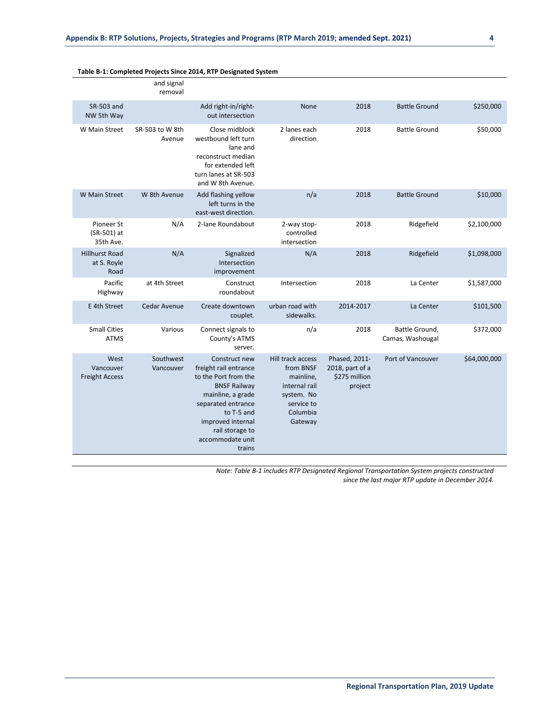|              |                                    |                                                              |                                                                                                                 |                                                                                                                                                                                                                      | and signal<br>removal     |                                              |
|--------------|------------------------------------|--------------------------------------------------------------|-----------------------------------------------------------------------------------------------------------------|----------------------------------------------------------------------------------------------------------------------------------------------------------------------------------------------------------------------|---------------------------|----------------------------------------------|
| \$250,000    | <b>Battle Ground</b>               | 2018                                                         | None                                                                                                            | Add right-in/right-<br>out intersection                                                                                                                                                                              |                           | SR-503 and<br>NW 5th Way                     |
| \$50,000     | <b>Battle Ground</b>               | 2018                                                         | 2 lanes each<br>direction                                                                                       | Close midblock<br>westbound left turn<br>lane and<br>reconstruct median<br>for extended left<br>turn lanes at SR-503<br>and W 8th Avenue.                                                                            | SR-503 to W 8th<br>Avenue | W Main Street                                |
| \$10,000     | <b>Battle Ground</b>               | 2018                                                         | n/a                                                                                                             | Add flashing yellow<br>left turns in the<br>east-west direction.                                                                                                                                                     | W 8th Avenue              | W Main Street                                |
| \$2,100,000  | Ridgefield                         | 2018                                                         | 2-way stop-<br>controlled<br>intersection                                                                       | 2-lane Roundabout                                                                                                                                                                                                    | N/A                       | Pioneer St<br>(SR-501) at<br>35th Ave.       |
| \$1,098,000  | Ridgefield                         | 2018                                                         | N/A                                                                                                             | Signalized<br>Intersection<br>improvement                                                                                                                                                                            | N/A                       | <b>Hillhurst Road</b><br>at S. Royle<br>Road |
| \$1,587,000  | La Center                          | 2018                                                         | Intersection                                                                                                    | Construct<br>roundabout                                                                                                                                                                                              | at 4th Street             | Pacific<br>Highway                           |
| \$101,500    | La Center                          | 2014-2017                                                    | urban road with<br>sidewalks.                                                                                   | Create downtown<br>couplet.                                                                                                                                                                                          | Cedar Avenue              | E 4th Street                                 |
| \$372,000    | Battle Ground,<br>Camas, Washougal | 2018                                                         | n/a                                                                                                             | Connect signals to<br>County's ATMS<br>server.                                                                                                                                                                       | Various                   | <b>Small Cities</b><br><b>ATMS</b>           |
| \$64,000,000 | Port of Vancouver                  | Phased, 2011-<br>2018, part of a<br>\$275 million<br>project | Hill track access<br>from BNSF<br>mainline,<br>internal rail<br>system. No<br>service to<br>Columbia<br>Gateway | Construct new<br>freight rail entrance<br>to the Port from the<br><b>BNSF Railway</b><br>mainline, a grade<br>separated entrance<br>to T-5 and<br>improved internal<br>rail storage to<br>accommodate unit<br>trains | Southwest<br>Vancouver    | West<br>Vancouver<br><b>Freight Access</b>   |

#### **Table B-1: Completed Projects Since 2014, RTP Designated System**

*Note: Table B-1 includes RTP Designated Regional Transportation System projects constructed since the last major RTP update in December 2014.*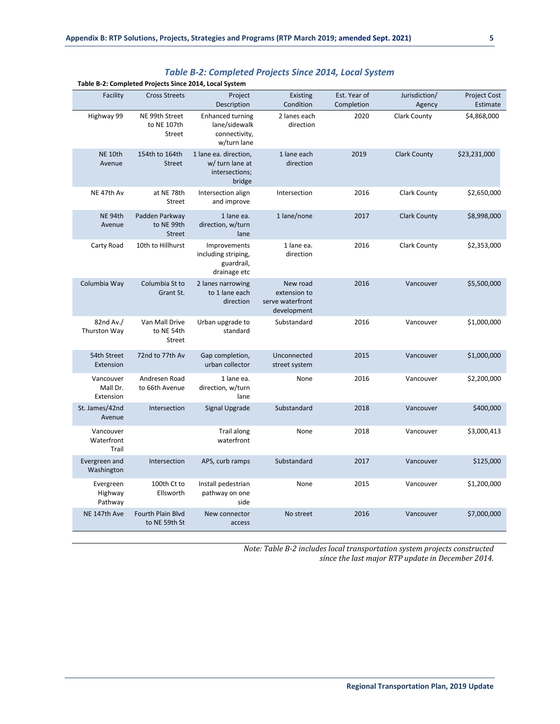|                                    | Table B-2: Completed Projects Since 2014, Local System |                                                                          |                                                             |                            |                         |                                 |
|------------------------------------|--------------------------------------------------------|--------------------------------------------------------------------------|-------------------------------------------------------------|----------------------------|-------------------------|---------------------------------|
| Facility                           | <b>Cross Streets</b>                                   | Project<br>Description                                                   | <b>Existing</b><br>Condition                                | Est. Year of<br>Completion | Jurisdiction/<br>Agency | <b>Project Cost</b><br>Estimate |
| Highway 99                         | NE 99th Street<br>to NE 107th<br>Street                | <b>Enhanced turning</b><br>lane/sidewalk<br>connectivity,<br>w/turn lane | 2 lanes each<br>direction                                   | 2020                       | <b>Clark County</b>     | \$4,868,000                     |
| <b>NE 10th</b><br>Avenue           | 154th to 164th<br><b>Street</b>                        | 1 lane ea. direction,<br>w/ turn lane at<br>intersections;<br>bridge     | 1 lane each<br>direction                                    | 2019                       | <b>Clark County</b>     | \$23,231,000                    |
| NE 47th Av                         | at NE 78th<br>Street                                   | Intersection align<br>and improve                                        | Intersection                                                | 2016                       | <b>Clark County</b>     | \$2,650,000                     |
| NE 94th<br>Avenue                  | Padden Parkway<br>to NE 99th<br><b>Street</b>          | 1 lane ea.<br>direction, w/turn<br>lane                                  | 1 lane/none                                                 | 2017                       | <b>Clark County</b>     | \$8,998,000                     |
| Carty Road                         | 10th to Hillhurst                                      | Improvements<br>including striping,<br>guardrail,<br>drainage etc        | 1 lane ea.<br>direction                                     | 2016                       | <b>Clark County</b>     | \$2,353,000                     |
| Columbia Way                       | Columbia St to<br>Grant St.                            | 2 lanes narrowing<br>to 1 lane each<br>direction                         | New road<br>extension to<br>serve waterfront<br>development | 2016                       | Vancouver               | \$5,500,000                     |
| 82nd Av./<br>Thurston Way          | Van Mall Drive<br>to NE 54th<br>Street                 | Urban upgrade to<br>standard                                             | Substandard                                                 | 2016                       | Vancouver               | \$1,000,000                     |
| 54th Street<br>Extension           | 72nd to 77th Av                                        | Gap completion,<br>urban collector                                       | Unconnected<br>street system                                | 2015                       | Vancouver               | \$1,000,000                     |
| Vancouver<br>Mall Dr.<br>Extension | Andresen Road<br>to 66th Avenue                        | 1 lane ea.<br>direction, w/turn<br>lane                                  | None                                                        | 2016                       | Vancouver               | \$2,200,000                     |
| St. James/42nd<br>Avenue           | Intersection                                           | <b>Signal Upgrade</b>                                                    | Substandard                                                 | 2018                       | Vancouver               | \$400,000                       |
| Vancouver<br>Waterfront<br>Trail   |                                                        | <b>Trail along</b><br>waterfront                                         | None                                                        | 2018                       | Vancouver               | \$3,000,413                     |
| Evergreen and<br>Washington        | Intersection                                           | APS, curb ramps                                                          | Substandard                                                 | 2017                       | Vancouver               | \$125,000                       |
| Evergreen<br>Highway<br>Pathway    | 100th Ct to<br>Ellsworth                               | Install pedestrian<br>pathway on one<br>side                             | None                                                        | 2015                       | Vancouver               | \$1,200,000                     |
| NE 147th Ave                       | <b>Fourth Plain Blvd</b><br>to NE 59th St              | New connector<br>access                                                  | No street                                                   | 2016                       | Vancouver               | \$7,000,000                     |

## *Table B-2: Completed Projects Since 2014, Local System*

*Note: Table B-2 includes local transportation system projects constructed since the last major RTP update in December 2014.*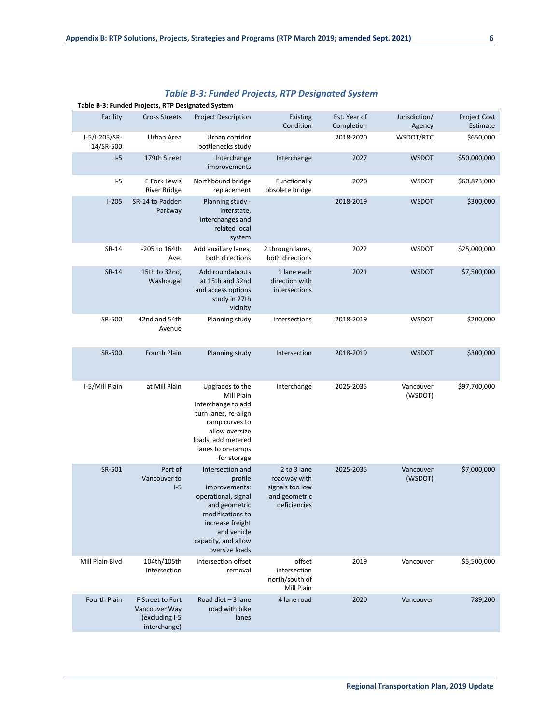|                            | Table B-3: Funded Projects, RTP Designated System                   |                                                                                                                                                                                      |                                                                                 |                            |                         |                          |  |  |  |
|----------------------------|---------------------------------------------------------------------|--------------------------------------------------------------------------------------------------------------------------------------------------------------------------------------|---------------------------------------------------------------------------------|----------------------------|-------------------------|--------------------------|--|--|--|
| Facility                   | <b>Cross Streets</b>                                                | <b>Project Description</b>                                                                                                                                                           | Existing<br>Condition                                                           | Est. Year of<br>Completion | Jurisdiction/<br>Agency | Project Cost<br>Estimate |  |  |  |
| I-5/I-205/SR-<br>14/SR-500 | Urban Area                                                          | Urban corridor<br>bottlenecks study                                                                                                                                                  |                                                                                 | 2018-2020                  | WSDOT/RTC               | \$650,000                |  |  |  |
| $I-5$                      | 179th Street                                                        | Interchange<br>improvements                                                                                                                                                          | Interchange                                                                     | 2027                       | <b>WSDOT</b>            | \$50,000,000             |  |  |  |
| $I-5$                      | E Fork Lewis<br><b>River Bridge</b>                                 | Northbound bridge<br>replacement                                                                                                                                                     | Functionally<br>obsolete bridge                                                 | 2020                       | <b>WSDOT</b>            | \$60,873,000             |  |  |  |
| $I-205$                    | SR-14 to Padden<br>Parkway                                          | Planning study -<br>interstate,<br>interchanges and<br>related local<br>system                                                                                                       |                                                                                 | 2018-2019                  | <b>WSDOT</b>            | \$300,000                |  |  |  |
| SR-14                      | I-205 to 164th<br>Ave.                                              | Add auxiliary lanes,<br>both directions                                                                                                                                              | 2 through lanes,<br>both directions                                             | 2022                       | <b>WSDOT</b>            | \$25,000,000             |  |  |  |
| SR-14                      | 15th to 32nd,<br>Washougal                                          | Add roundabouts<br>at 15th and 32nd<br>and access options<br>study in 27th<br>vicinity                                                                                               | 1 lane each<br>direction with<br>intersections                                  | 2021                       | <b>WSDOT</b>            | \$7,500,000              |  |  |  |
| SR-500                     | 42nd and 54th<br>Avenue                                             | Planning study                                                                                                                                                                       | Intersections                                                                   | 2018-2019                  | <b>WSDOT</b>            | \$200,000                |  |  |  |
| SR-500                     | Fourth Plain                                                        | Planning study                                                                                                                                                                       | Intersection                                                                    | 2018-2019                  | <b>WSDOT</b>            | \$300,000                |  |  |  |
| I-5/Mill Plain             | at Mill Plain                                                       | Upgrades to the<br>Mill Plain<br>Interchange to add<br>turn lanes, re-align<br>ramp curves to<br>allow oversize<br>loads, add metered<br>lanes to on-ramps<br>for storage            | Interchange                                                                     | 2025-2035                  | Vancouver<br>(WSDOT)    | \$97,700,000             |  |  |  |
| SR-501                     | Port of<br>Vancouver to<br>$I-5$                                    | Intersection and<br>profile<br>improvements:<br>operational, signal<br>and geometric<br>modifications to<br>increase freight<br>and vehicle<br>capacity, and allow<br>oversize loads | 2 to 3 lane<br>roadway with<br>signals too low<br>and geometric<br>deficiencies | 2025-2035                  | Vancouver<br>(WSDOT)    | \$7,000,000              |  |  |  |
| Mill Plain Blvd            | 104th/105th<br>Intersection                                         | Intersection offset<br>removal                                                                                                                                                       | offset<br>intersection<br>north/south of<br>Mill Plain                          | 2019                       | Vancouver               | \$5,500,000              |  |  |  |
| Fourth Plain               | F Street to Fort<br>Vancouver Way<br>(excluding I-5<br>interchange) | Road diet $-3$ lane<br>road with bike<br>lanes                                                                                                                                       | 4 lane road                                                                     | 2020                       | Vancouver               | 789,200                  |  |  |  |

## *Table B-3: Funded Projects, RTP Designated System*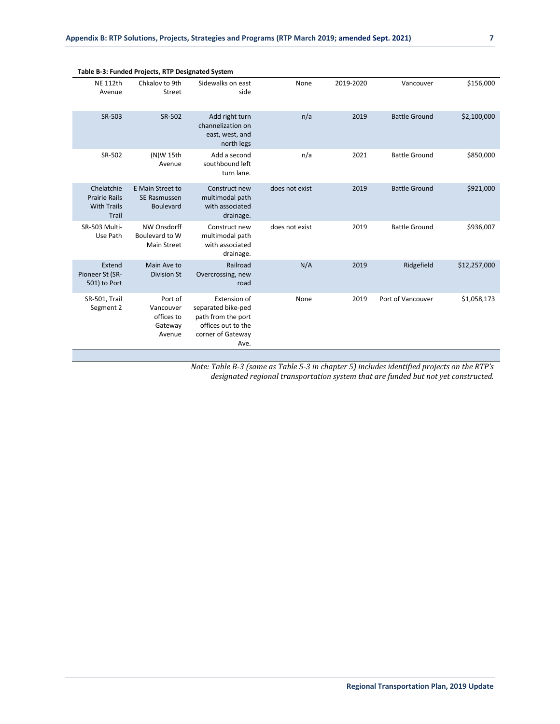| Table B-3: Funded Projects, RTP Designated System                 |                                                         |                                                                                                             |                |           |                      |              |  |  |  |
|-------------------------------------------------------------------|---------------------------------------------------------|-------------------------------------------------------------------------------------------------------------|----------------|-----------|----------------------|--------------|--|--|--|
| <b>NE 112th</b><br>Avenue                                         | Chkalov to 9th<br>Street                                | Sidewalks on east<br>side                                                                                   | None           | 2019-2020 | Vancouver            | \$156,000    |  |  |  |
| SR-503                                                            | SR-502                                                  | Add right turn<br>channelization on<br>east, west, and<br>north legs                                        | n/a            | 2019      | <b>Battle Ground</b> | \$2,100,000  |  |  |  |
| SR-502                                                            | (N)W 15th<br>Avenue                                     | Add a second<br>southbound left<br>turn lane.                                                               | n/a            | 2021      | <b>Battle Ground</b> | \$850,000    |  |  |  |
| Chelatchie<br><b>Prairie Rails</b><br><b>With Trails</b><br>Trail | E Main Street to<br>SE Rasmussen<br>Boulevard           | Construct new<br>multimodal path<br>with associated<br>drainage.                                            | does not exist | 2019      | <b>Battle Ground</b> | \$921,000    |  |  |  |
| SR-503 Multi-<br>Use Path                                         | NW Onsdorff<br>Boulevard to W<br><b>Main Street</b>     | Construct new<br>multimodal path<br>with associated<br>drainage.                                            | does not exist | 2019      | <b>Battle Ground</b> | \$936,007    |  |  |  |
| Extend<br>Pioneer St (SR-<br>501) to Port                         | Main Ave to<br><b>Division St</b>                       | Railroad<br>Overcrossing, new<br>road                                                                       | N/A            | 2019      | Ridgefield           | \$12,257,000 |  |  |  |
| SR-501, Trail<br>Segment 2                                        | Port of<br>Vancouver<br>offices to<br>Gateway<br>Avenue | Extension of<br>separated bike-ped<br>path from the port<br>offices out to the<br>corner of Gateway<br>Ave. | None           | 2019      | Port of Vancouver    | \$1,058,173  |  |  |  |

*Note: Table B-3 (same as Table 5-3 in chapter 5) includes identified projects on the RTP's designated regional transportation system that are funded but not yet constructed.*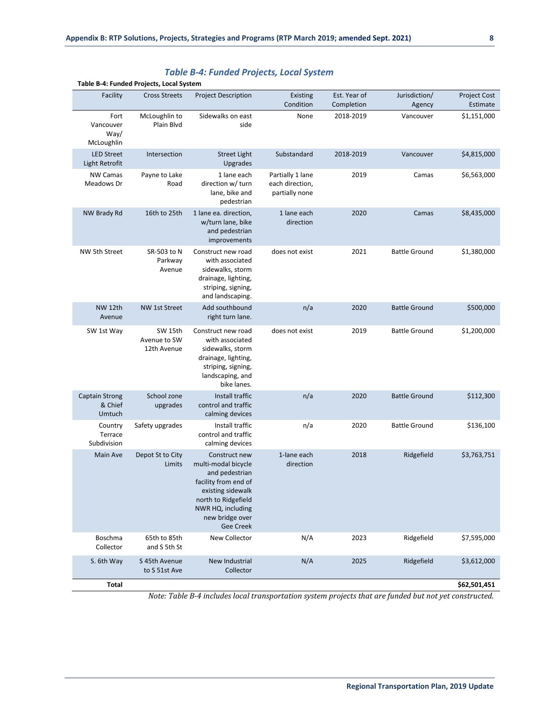|                                            | Table B-4: Funded Projects, Local System |                                                                                                                                                                                        |                                                       |                            |                         |                                 |
|--------------------------------------------|------------------------------------------|----------------------------------------------------------------------------------------------------------------------------------------------------------------------------------------|-------------------------------------------------------|----------------------------|-------------------------|---------------------------------|
| Facility                                   | <b>Cross Streets</b>                     | <b>Project Description</b>                                                                                                                                                             | Existing<br>Condition                                 | Est. Year of<br>Completion | Jurisdiction/<br>Agency | <b>Project Cost</b><br>Estimate |
| Fort<br>Vancouver<br>Way/<br>McLoughlin    | McLoughlin to<br>Plain Blvd              | Sidewalks on east<br>side                                                                                                                                                              | None                                                  | 2018-2019                  | Vancouver               | \$1,151,000                     |
| <b>LED Street</b><br>Light Retrofit        | Intersection                             | <b>Street Light</b><br>Upgrades                                                                                                                                                        | Substandard                                           | 2018-2019                  | Vancouver               | \$4,815,000                     |
| <b>NW Camas</b><br>Meadows Dr              | Payne to Lake<br>Road                    | 1 lane each<br>direction w/ turn<br>lane, bike and<br>pedestrian                                                                                                                       | Partially 1 lane<br>each direction,<br>partially none | 2019                       | Camas                   | \$6,563,000                     |
| NW Brady Rd                                | 16th to 25th                             | 1 lane ea. direction,<br>w/turn lane, bike<br>and pedestrian<br>improvements                                                                                                           | 1 lane each<br>direction                              | 2020                       | Camas                   | \$8,435,000                     |
| NW 5th Street                              | SR-503 to N<br>Parkway<br>Avenue         | Construct new road<br>with associated<br>sidewalks, storm<br>drainage, lighting,<br>striping, signing,<br>and landscaping.                                                             | does not exist                                        | 2021                       | <b>Battle Ground</b>    | \$1,380,000                     |
| NW 12th<br>Avenue                          | <b>NW 1st Street</b>                     | Add southbound<br>right turn lane.                                                                                                                                                     | n/a                                                   | 2020                       | <b>Battle Ground</b>    | \$500,000                       |
| SW 1st Way                                 | SW 15th<br>Avenue to SW<br>12th Avenue   | Construct new road<br>with associated<br>sidewalks, storm<br>drainage, lighting,<br>striping, signing,<br>landscaping, and<br>bike lanes.                                              | does not exist                                        | 2019                       | <b>Battle Ground</b>    | \$1,200,000                     |
| <b>Captain Strong</b><br>& Chief<br>Umtuch | School zone<br>upgrades                  | Install traffic<br>control and traffic<br>calming devices                                                                                                                              | n/a                                                   | 2020                       | <b>Battle Ground</b>    | \$112,300                       |
| Country<br>Terrace<br>Subdivision          | Safety upgrades                          | Install traffic<br>control and traffic<br>calming devices                                                                                                                              | n/a                                                   | 2020                       | <b>Battle Ground</b>    | \$136,100                       |
| Main Ave                                   | Depot St to City<br>Limits               | Construct new<br>multi-modal bicycle<br>and pedestrian<br>facility from end of<br>existing sidewalk<br>north to Ridgefield<br>NWR HQ, including<br>new bridge over<br><b>Gee Creek</b> | 1-lane each<br>direction                              | 2018                       | Ridgefield              | \$3,763,751                     |
| Boschma<br>Collector                       | 65th to 85th<br>and S 5th St             | New Collector                                                                                                                                                                          | N/A                                                   | 2023                       | Ridgefield              | \$7,595,000                     |
| S. 6th Way                                 | S 45th Avenue<br>to S 51st Ave           | New Industrial<br>Collector                                                                                                                                                            | N/A                                                   | 2025                       | Ridgefield              | \$3,612,000                     |
| Total                                      |                                          |                                                                                                                                                                                        |                                                       |                            |                         | \$62,501,451                    |

#### *Table B-4: Funded Projects, Local System*

*Note: Table B-4 includes local transportation system projects that are funded but not yet constructed.*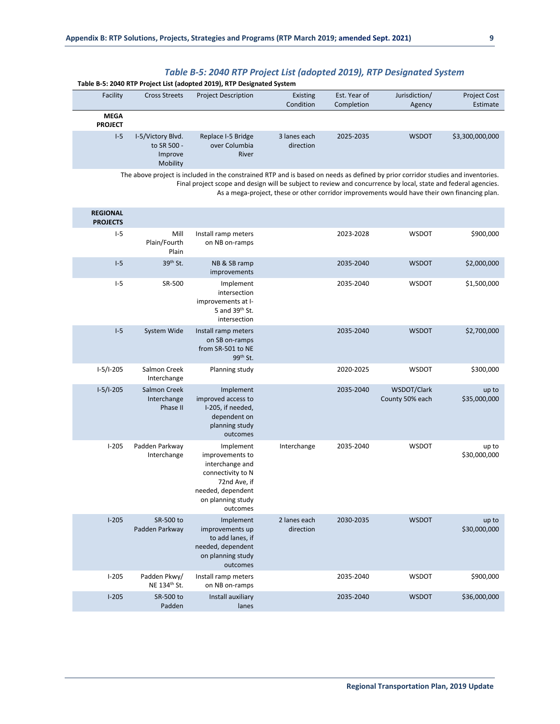**Table B-5: 2040 RTP Project List (adopted 2019), RTP Designated System**

| Facility                      | <b>Cross Streets</b>                                    | <b>Project Description</b>                          | Existing<br>Condition     | Est. Year of<br>Completion | Jurisdiction/<br>Agency | <b>Project Cost</b><br>Estimate |
|-------------------------------|---------------------------------------------------------|-----------------------------------------------------|---------------------------|----------------------------|-------------------------|---------------------------------|
| <b>MEGA</b><br><b>PROJECT</b> |                                                         |                                                     |                           |                            |                         |                                 |
| $I-5$                         | I-5/Victory Blvd.<br>to SR 500 -<br>Improve<br>Mobility | Replace I-5 Bridge<br>over Columbia<br><b>River</b> | 3 lanes each<br>direction | 2025-2035                  | <b>WSDOT</b>            | \$3,300,000,000                 |

The above project is included in the constrained RTP and is based on needs as defined by prior corridor studies and inventories. Final project scope and design will be subject to review and concurrence by local, state and federal agencies. As a mega-project, these or other corridor improvements would have their own financing plan.

|                       |                                |           |                           |                                                                                                                                            |                                         | <b>REGIONAL</b><br><b>PROJECTS</b> |
|-----------------------|--------------------------------|-----------|---------------------------|--------------------------------------------------------------------------------------------------------------------------------------------|-----------------------------------------|------------------------------------|
| \$900,000             | <b>WSDOT</b>                   | 2023-2028 |                           | Install ramp meters<br>on NB on-ramps                                                                                                      | Mill<br>Plain/Fourth<br>Plain           | $I-5$                              |
| \$2,000,000           | <b>WSDOT</b>                   | 2035-2040 |                           | NB & SB ramp<br>improvements                                                                                                               | 39 <sup>th</sup> St.                    | $I-5$                              |
| \$1,500,000           | WSDOT                          | 2035-2040 |                           | Implement<br>intersection<br>improvements at I-<br>5 and 39th St.<br>intersection                                                          | SR-500                                  | $I-5$                              |
| \$2,700,000           | <b>WSDOT</b>                   | 2035-2040 |                           | Install ramp meters<br>on SB on-ramps<br>from SR-501 to NE<br>99 <sup>th</sup> St.                                                         | System Wide                             | $I-5$                              |
| \$300,000             | WSDOT                          | 2020-2025 |                           | Planning study                                                                                                                             | Salmon Creek<br>Interchange             | $I-5/I-205$                        |
| up to<br>\$35,000,000 | WSDOT/Clark<br>County 50% each | 2035-2040 |                           | Implement<br>improved access to<br>I-205, if needed,<br>dependent on<br>planning study<br>outcomes                                         | Salmon Creek<br>Interchange<br>Phase II | $I-5/I-205$                        |
| up to<br>\$30,000,000 | <b>WSDOT</b>                   | 2035-2040 | Interchange               | Implement<br>improvements to<br>interchange and<br>connectivity to N<br>72nd Ave, if<br>needed, dependent<br>on planning study<br>outcomes | Padden Parkway<br>Interchange           | $I-205$                            |
| up to<br>\$30,000,000 | <b>WSDOT</b>                   | 2030-2035 | 2 lanes each<br>direction | Implement<br>improvements up<br>to add lanes, if<br>needed, dependent<br>on planning study<br>outcomes                                     | SR-500 to<br>Padden Parkway             | $1 - 205$                          |
| \$900,000             | WSDOT                          | 2035-2040 |                           | Install ramp meters<br>on NB on-ramps                                                                                                      | Padden Pkwy/<br>NE 134th St.            | $1 - 205$                          |
| \$36,000,000          | <b>WSDOT</b>                   | 2035-2040 |                           | Install auxiliary<br>lanes                                                                                                                 | SR-500 to<br>Padden                     | $1 - 205$                          |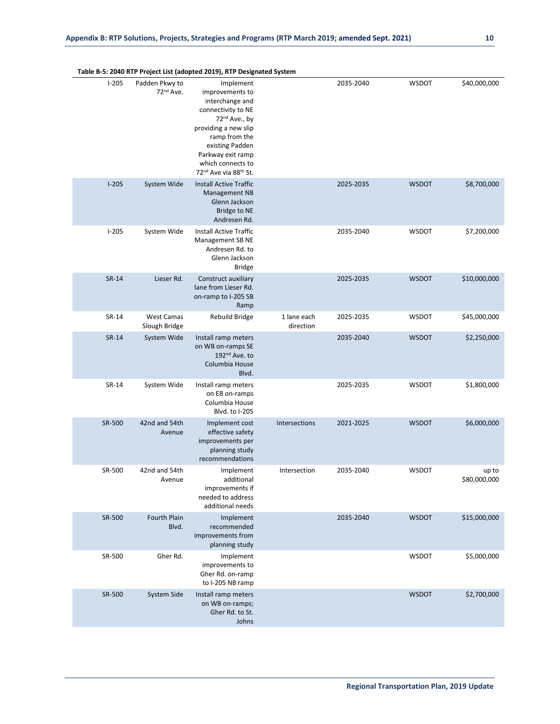|                       |              |           |                          | Table B-5: 2040 KTP Project List (adopted 2019), KTP Designated System                                                                                                                                                                                    |                                         |           |
|-----------------------|--------------|-----------|--------------------------|-----------------------------------------------------------------------------------------------------------------------------------------------------------------------------------------------------------------------------------------------------------|-----------------------------------------|-----------|
| \$40,000,000          | <b>WSDOT</b> | 2035-2040 |                          | Implement<br>improvements to<br>interchange and<br>connectivity to NE<br>72 <sup>nd</sup> Ave., by<br>providing a new slip<br>ramp from the<br>existing Padden<br>Parkway exit ramp<br>which connects to<br>72 <sup>nd</sup> Ave via 88 <sup>th</sup> St. | Padden Pkwy to<br>72 <sup>nd</sup> Ave. | $1-205$   |
| \$8,700,000           | <b>WSDOT</b> | 2025-2035 |                          | <b>Install Active Traffic</b><br><b>Management NB</b><br>Glenn Jackson<br><b>Bridge to NE</b><br>Andresen Rd.                                                                                                                                             | System Wide                             | $1 - 205$ |
| \$7,200,000           | <b>WSDOT</b> | 2035-2040 |                          | Install Active Traffic<br>Management SB NE<br>Andresen Rd. to<br>Glenn Jackson<br><b>Bridge</b>                                                                                                                                                           | System Wide                             | $1 - 205$ |
| \$10,000,000          | <b>WSDOT</b> | 2025-2035 |                          | Construct auxiliary<br>lane from Lieser Rd.<br>on-ramp to I-205 SB<br>Ramp                                                                                                                                                                                | Lieser Rd.                              | SR-14     |
| \$45,000,000          | <b>WSDOT</b> | 2025-2035 | 1 lane each<br>direction | <b>Rebuild Bridge</b>                                                                                                                                                                                                                                     | <b>West Camas</b><br>Slough Bridge      | SR-14     |
| \$2,250,000           | <b>WSDOT</b> | 2035-2040 |                          | Install ramp meters<br>on WB on-ramps SE<br>192 <sup>nd</sup> Ave. to<br>Columbia House<br>Blvd.                                                                                                                                                          | System Wide                             | SR-14     |
| \$1,800,000           | <b>WSDOT</b> | 2025-2035 |                          | Install ramp meters<br>on EB on-ramps<br>Columbia House<br>Blvd. to I-205                                                                                                                                                                                 | System Wide                             | SR-14     |
| \$6,000,000           | <b>WSDOT</b> | 2021-2025 | Intersections            | Implement cost<br>effective safety<br>improvements per<br>planning study<br>recommendations                                                                                                                                                               | 42nd and 54th<br>Avenue                 | SR-500    |
| up to<br>\$80,000,000 | <b>WSDOT</b> | 2035-2040 | Intersection             | Implement<br>additional<br>improvements if<br>needed to address<br>additional needs                                                                                                                                                                       | 42nd and 54th<br>Avenue                 | SR-500    |
| \$15,000,000          | <b>WSDOT</b> | 2035-2040 |                          | Implement<br>recommended<br>improvements from<br>planning study                                                                                                                                                                                           | Fourth Plain<br>Blvd.                   | SR-500    |
| \$5,000,000           | WSDOT        |           |                          | Implement<br>improvements to<br>Gher Rd. on-ramp<br>to I-205 NB ramp                                                                                                                                                                                      | Gher Rd.                                | SR-500    |
| \$2,700,000           | <b>WSDOT</b> |           |                          | Install ramp meters<br>on WB on-ramps;<br>Gher Rd. to St.<br>Johns                                                                                                                                                                                        | System Side                             | SR-500    |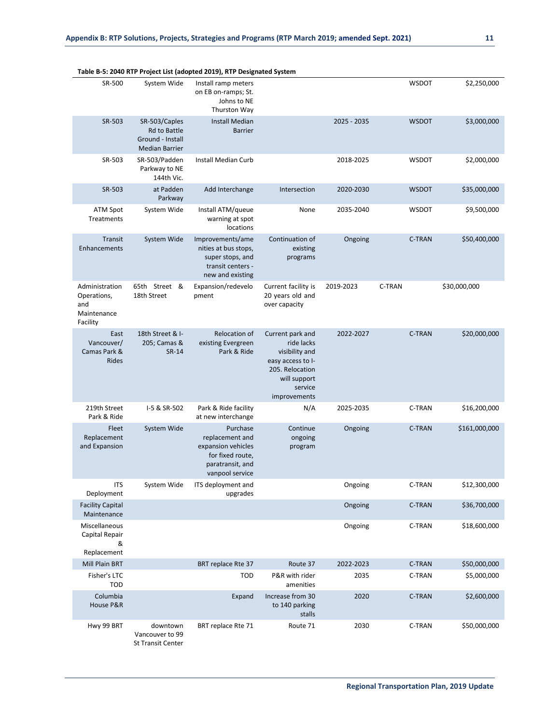|                                                                 |                                                                                   | Table B-5: 2040 RTP Project List (adopted 2019), RTP Designated System                                       |                                                                                                                                     |             |              |               |
|-----------------------------------------------------------------|-----------------------------------------------------------------------------------|--------------------------------------------------------------------------------------------------------------|-------------------------------------------------------------------------------------------------------------------------------------|-------------|--------------|---------------|
| SR-500                                                          | System Wide                                                                       | Install ramp meters<br>on EB on-ramps; St.<br>Johns to NE<br>Thurston Way                                    |                                                                                                                                     |             | <b>WSDOT</b> | \$2,250,000   |
| SR-503                                                          | SR-503/Caples<br><b>Rd to Battle</b><br>Ground - Install<br><b>Median Barrier</b> | <b>Install Median</b><br><b>Barrier</b>                                                                      |                                                                                                                                     | 2025 - 2035 | <b>WSDOT</b> | \$3,000,000   |
| SR-503                                                          | SR-503/Padden<br>Parkway to NE<br>144th Vic.                                      | <b>Install Median Curb</b>                                                                                   |                                                                                                                                     | 2018-2025   | <b>WSDOT</b> | \$2,000,000   |
| SR-503                                                          | at Padden<br>Parkway                                                              | Add Interchange                                                                                              | Intersection                                                                                                                        | 2020-2030   | <b>WSDOT</b> | \$35,000,000  |
| <b>ATM Spot</b><br>Treatments                                   | System Wide                                                                       | Install ATM/queue<br>warning at spot<br>locations                                                            | None                                                                                                                                | 2035-2040   | <b>WSDOT</b> | \$9,500,000   |
| Transit<br>Enhancements                                         | System Wide                                                                       | Improvements/ame<br>nities at bus stops,<br>super stops, and<br>transit centers -<br>new and existing        | Continuation of<br>existing<br>programs                                                                                             | Ongoing     | C-TRAN       | \$50,400,000  |
| Administration<br>Operations,<br>and<br>Maintenance<br>Facility | 65th Street &<br>18th Street                                                      | Expansion/redevelo<br>pment                                                                                  | Current facility is<br>20 years old and<br>over capacity                                                                            | 2019-2023   | C-TRAN       | \$30,000,000  |
| East<br>Vancouver/<br>Camas Park &<br>Rides                     | 18th Street & I-<br>205; Camas &<br>SR-14                                         | <b>Relocation of</b><br>existing Evergreen<br>Park & Ride                                                    | Current park and<br>ride lacks<br>visibility and<br>easy access to I-<br>205. Relocation<br>will support<br>service<br>improvements | 2022-2027   | C-TRAN       | \$20,000,000  |
| 219th Street<br>Park & Ride                                     | I-5 & SR-502                                                                      | Park & Ride facility<br>at new interchange                                                                   | N/A                                                                                                                                 | 2025-2035   | C-TRAN       | \$16,200,000  |
| Fleet<br>Replacement<br>and Expansion                           | System Wide                                                                       | Purchase<br>replacement and<br>expansion vehicles<br>for fixed route,<br>paratransit, and<br>vanpool service | Continue<br>ongoing<br>program                                                                                                      | Ongoing     | C-TRAN       | \$161,000,000 |
| <b>ITS</b><br>Deployment                                        | System Wide                                                                       | ITS deployment and<br>upgrades                                                                               |                                                                                                                                     | Ongoing     | C-TRAN       | \$12,300,000  |
| <b>Facility Capital</b><br>Maintenance                          |                                                                                   |                                                                                                              |                                                                                                                                     | Ongoing     | C-TRAN       | \$36,700,000  |
| Miscellaneous<br>Capital Repair<br>&                            |                                                                                   |                                                                                                              |                                                                                                                                     | Ongoing     | C-TRAN       | \$18,600,000  |
| Replacement<br>Mill Plain BRT                                   |                                                                                   | BRT replace Rte 37                                                                                           | Route 37                                                                                                                            | 2022-2023   | C-TRAN       | \$50,000,000  |
| Fisher's LTC<br><b>TOD</b>                                      |                                                                                   | <b>TOD</b>                                                                                                   | P&R with rider<br>amenities                                                                                                         | 2035        | C-TRAN       | \$5,000,000   |
| Columbia<br>House P&R                                           |                                                                                   | Expand                                                                                                       | Increase from 30<br>to 140 parking<br>stalls                                                                                        | 2020        | C-TRAN       | \$2,600,000   |
| Hwy 99 BRT                                                      | downtown<br>Vancouver to 99                                                       | BRT replace Rte 71                                                                                           | Route 71                                                                                                                            | 2030        | C-TRAN       | \$50,000,000  |

```
St Transit Center
```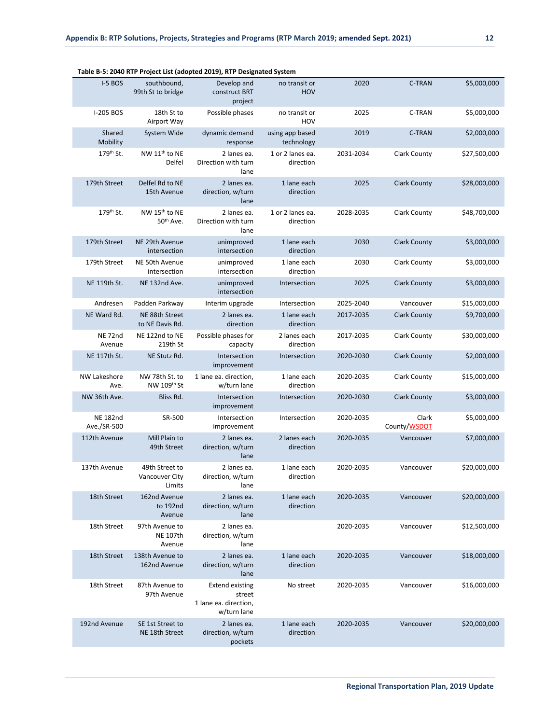|                                |                                                    | rable b-5. 2040 KTP Project List (adopted 2019), KTP Designated System   |                               |           |                       |              |
|--------------------------------|----------------------------------------------------|--------------------------------------------------------------------------|-------------------------------|-----------|-----------------------|--------------|
| I-5 BOS                        | southbound,<br>99th St to bridge                   | Develop and<br>construct BRT<br>project                                  | no transit or<br><b>HOV</b>   | 2020      | <b>C-TRAN</b>         | \$5,000,000  |
| I-205 BOS                      | 18th St to<br>Airport Way                          | Possible phases                                                          | no transit or<br>HOV          | 2025      | C-TRAN                | \$5,000,000  |
| Shared<br>Mobility             | System Wide                                        | dynamic demand<br>response                                               | using app based<br>technology | 2019      | C-TRAN                | \$2,000,000  |
| 179th St.                      | NW 11 <sup>th</sup> to NE<br>Delfel                | 2 lanes ea.<br>Direction with turn<br>lane                               | 1 or 2 lanes ea.<br>direction | 2031-2034 | <b>Clark County</b>   | \$27,500,000 |
| 179th Street                   | Delfel Rd to NE<br>15th Avenue                     | 2 lanes ea.<br>direction, w/turn<br>lane                                 | 1 lane each<br>direction      | 2025      | <b>Clark County</b>   | \$28,000,000 |
| 179 <sup>th</sup> St.          | NW 15 <sup>th</sup> to NE<br>50 <sup>th</sup> Ave. | 2 lanes ea.<br>Direction with turn<br>lane                               | 1 or 2 lanes ea.<br>direction | 2028-2035 | <b>Clark County</b>   | \$48,700,000 |
| 179th Street                   | NE 29th Avenue<br>intersection                     | unimproved<br>intersection                                               | 1 lane each<br>direction      | 2030      | <b>Clark County</b>   | \$3,000,000  |
| 179th Street                   | NE 50th Avenue<br>intersection                     | unimproved<br>intersection                                               | 1 lane each<br>direction      | 2030      | <b>Clark County</b>   | \$3,000,000  |
| NE 119th St.                   | NE 132nd Ave.                                      | unimproved<br>intersection                                               | Intersection                  | 2025      | <b>Clark County</b>   | \$3,000,000  |
| Andresen                       | Padden Parkway                                     | Interim upgrade                                                          | Intersection                  | 2025-2040 | Vancouver             | \$15,000,000 |
| NE Ward Rd.                    | NE 88th Street<br>to NE Davis Rd.                  | 2 lanes ea.<br>direction                                                 | 1 lane each<br>direction      | 2017-2035 | <b>Clark County</b>   | \$9,700,000  |
| NE <sub>72nd</sub><br>Avenue   | NE 122nd to NE<br>219th St                         | Possible phases for<br>capacity                                          | 2 lanes each<br>direction     | 2017-2035 | Clark County          | \$30,000,000 |
| NE 117th St.                   | NE Stutz Rd.                                       | Intersection<br>improvement                                              | Intersection                  | 2020-2030 | <b>Clark County</b>   | \$2,000,000  |
| <b>NW Lakeshore</b><br>Ave.    | NW 78th St. to<br>NW 109th St                      | 1 lane ea. direction,<br>w/turn lane                                     | 1 lane each<br>direction      | 2020-2035 | <b>Clark County</b>   | \$15,000,000 |
| NW 36th Ave.                   | Bliss Rd.                                          | Intersection<br>improvement                                              | Intersection                  | 2020-2030 | <b>Clark County</b>   | \$3,000,000  |
| <b>NE 182nd</b><br>Ave./SR-500 | SR-500                                             | Intersection<br>improvement                                              | Intersection                  | 2020-2035 | Clark<br>County/WSDOT | \$5,000,000  |
| 112th Avenue                   | Mill Plain to<br>49th Street                       | 2 lanes ea.<br>direction, w/turn<br>lane                                 | 2 lanes each<br>direction     | 2020-2035 | Vancouver             | \$7,000,000  |
| 137th Avenue                   | 49th Street to<br><b>Vancouver City</b><br>Limits  | 2 lanes ea.<br>direction, w/turn<br>lane                                 | 1 lane each<br>direction      | 2020-2035 | Vancouver             | \$20,000,000 |
| 18th Street                    | 162nd Avenue<br>to 192nd<br>Avenue                 | 2 lanes ea.<br>direction, w/turn<br>lane                                 | 1 lane each<br>direction      | 2020-2035 | Vancouver             | \$20,000,000 |
| 18th Street                    | 97th Avenue to<br><b>NE 107th</b><br>Avenue        | 2 lanes ea.<br>direction, w/turn<br>lane                                 |                               | 2020-2035 | Vancouver             | \$12,500,000 |
| 18th Street                    | 138th Avenue to<br>162nd Avenue                    | 2 lanes ea.<br>direction, w/turn<br>lane                                 | 1 lane each<br>direction      | 2020-2035 | Vancouver             | \$18,000,000 |
| 18th Street                    | 87th Avenue to<br>97th Avenue                      | <b>Extend existing</b><br>street<br>1 lane ea. direction,<br>w/turn lane | No street                     | 2020-2035 | Vancouver             | \$16,000,000 |
| 192nd Avenue                   | SE 1st Street to<br>NE 18th Street                 | 2 lanes ea.<br>direction, w/turn<br>pockets                              | 1 lane each<br>direction      | 2020-2035 | Vancouver             | \$20,000,000 |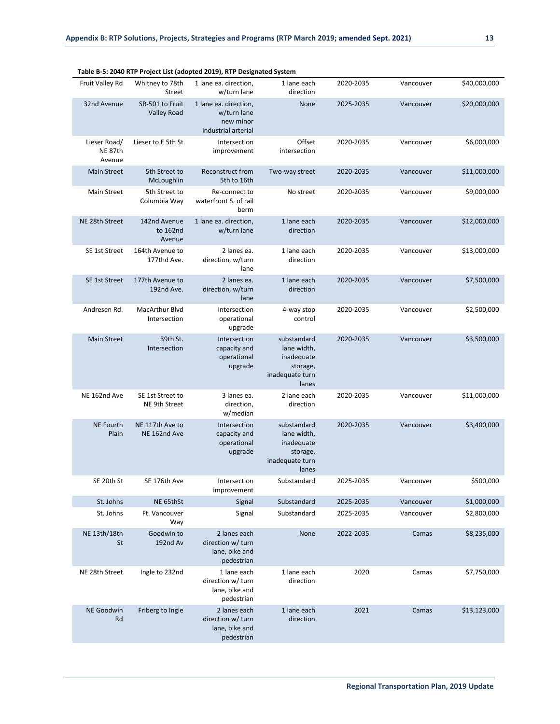|                                   |                                       | Table B-5: 2040 RTP Project List (adopted 2019), RTP Designated System   |                                                                                  |           |           |              |
|-----------------------------------|---------------------------------------|--------------------------------------------------------------------------|----------------------------------------------------------------------------------|-----------|-----------|--------------|
| Fruit Valley Rd                   | Whitney to 78th<br>Street             | 1 lane ea. direction,<br>w/turn lane                                     | 1 lane each<br>direction                                                         | 2020-2035 | Vancouver | \$40,000,000 |
| 32nd Avenue                       | SR-501 to Fruit<br><b>Valley Road</b> | 1 lane ea. direction,<br>w/turn lane<br>new minor<br>industrial arterial | None                                                                             | 2025-2035 | Vancouver | \$20,000,000 |
| Lieser Road/<br>NE 87th<br>Avenue | Lieser to E 5th St                    | Intersection<br>improvement                                              | Offset<br>intersection                                                           | 2020-2035 | Vancouver | \$6,000,000  |
| <b>Main Street</b>                | 5th Street to<br>McLoughlin           | Reconstruct from<br>5th to 16th                                          | Two-way street                                                                   | 2020-2035 | Vancouver | \$11,000,000 |
| <b>Main Street</b>                | 5th Street to<br>Columbia Way         | Re-connect to<br>waterfront S. of rail<br>berm                           | No street                                                                        | 2020-2035 | Vancouver | \$9,000,000  |
| NE 28th Street                    | 142nd Avenue<br>to 162nd<br>Avenue    | 1 lane ea. direction,<br>w/turn lane                                     | 1 lane each<br>direction                                                         | 2020-2035 | Vancouver | \$12,000,000 |
| SE 1st Street                     | 164th Avenue to<br>177thd Ave.        | 2 lanes ea.<br>direction, w/turn<br>lane                                 | 1 lane each<br>direction                                                         | 2020-2035 | Vancouver | \$13,000,000 |
| SE 1st Street                     | 177th Avenue to<br>192nd Ave.         | 2 lanes ea.<br>direction, w/turn<br>lane                                 | 1 lane each<br>direction                                                         | 2020-2035 | Vancouver | \$7,500,000  |
| Andresen Rd.                      | MacArthur Blvd<br>Intersection        | Intersection<br>operational<br>upgrade                                   | 4-way stop<br>control                                                            | 2020-2035 | Vancouver | \$2,500,000  |
| <b>Main Street</b>                | 39th St.<br>Intersection              | Intersection<br>capacity and<br>operational<br>upgrade                   | substandard<br>lane width,<br>inadequate<br>storage,<br>inadequate turn<br>lanes | 2020-2035 | Vancouver | \$3,500,000  |
| NE 162nd Ave                      | SE 1st Street to<br>NE 9th Street     | 3 lanes ea.<br>direction,<br>w/median                                    | 2 lane each<br>direction                                                         | 2020-2035 | Vancouver | \$11,000,000 |
| <b>NE Fourth</b><br>Plain         | NE 117th Ave to<br>NE 162nd Ave       | Intersection<br>capacity and<br>operational<br>upgrade                   | substandard<br>lane width,<br>inadequate<br>storage,<br>inadequate turn<br>lanes | 2020-2035 | Vancouver | \$3,400,000  |
| SE 20th St                        | SE 176th Ave                          | Intersection<br>improvement                                              | Substandard                                                                      | 2025-2035 | Vancouver | \$500,000    |
| St. Johns                         | NE 65thSt                             | Signal                                                                   | Substandard                                                                      | 2025-2035 | Vancouver | \$1,000,000  |
| St. Johns                         | Ft. Vancouver<br>Way                  | Signal                                                                   | Substandard                                                                      | 2025-2035 | Vancouver | \$2,800,000  |
| NE 13th/18th<br>St                | Goodwin to<br>192nd Av                | 2 lanes each<br>direction w/ turn<br>lane, bike and<br>pedestrian        | None                                                                             | 2022-2035 | Camas     | \$8,235,000  |
| NE 28th Street                    | Ingle to 232nd                        | 1 lane each<br>direction w/ turn<br>lane, bike and<br>pedestrian         | 1 lane each<br>direction                                                         | 2020      | Camas     | \$7,750,000  |
| NE Goodwin<br>Rd                  | Friberg to Ingle                      | 2 lanes each<br>direction w/ turn<br>lane, bike and<br>pedestrian        | 1 lane each<br>direction                                                         | 2021      | Camas     | \$13,123,000 |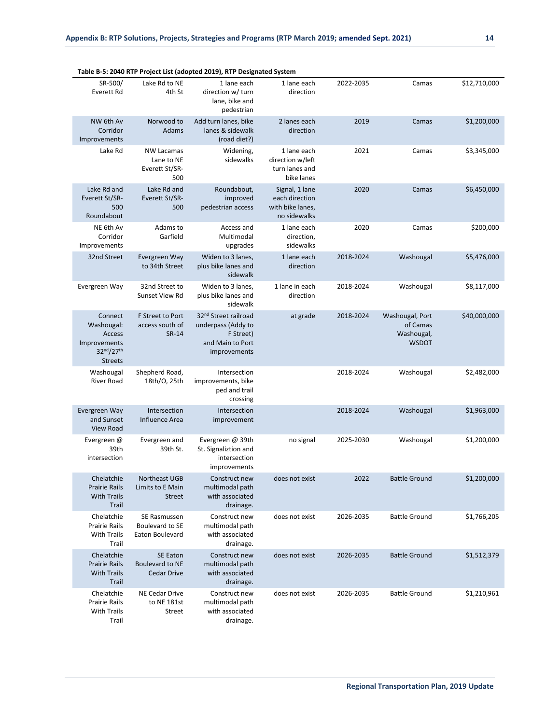|                                                                                |                                                           | Table B-5: 2040 RTP Project List (adopted 2019), RTP Designated System                                  |                                                                      |           |                                                           |              |
|--------------------------------------------------------------------------------|-----------------------------------------------------------|---------------------------------------------------------------------------------------------------------|----------------------------------------------------------------------|-----------|-----------------------------------------------------------|--------------|
| SR-500/<br>Everett Rd                                                          | Lake Rd to NE<br>4th St                                   | 1 lane each<br>direction w/ turn<br>lane, bike and<br>pedestrian                                        | 1 lane each<br>direction                                             | 2022-2035 | Camas                                                     | \$12,710,000 |
| NW 6th Av<br>Corridor<br>Improvements                                          | Norwood to<br>Adams                                       | Add turn lanes, bike<br>lanes & sidewalk<br>(road diet?)                                                | 2 lanes each<br>direction                                            | 2019      | Camas                                                     | \$1,200,000  |
| Lake Rd                                                                        | <b>NW Lacamas</b><br>Lane to NE<br>Everett St/SR-<br>500  | Widening,<br>sidewalks                                                                                  | 1 lane each<br>direction w/left<br>turn lanes and<br>bike lanes      | 2021      | Camas                                                     | \$3,345,000  |
| Lake Rd and<br>Everett St/SR-<br>500<br>Roundabout                             | Lake Rd and<br>Everett St/SR-<br>500                      | Roundabout,<br>improved<br>pedestrian access                                                            | Signal, 1 lane<br>each direction<br>with bike lanes,<br>no sidewalks | 2020      | Camas                                                     | \$6,450,000  |
| NE 6th Av<br>Corridor<br>Improvements                                          | Adams to<br>Garfield                                      | Access and<br>Multimodal<br>upgrades                                                                    | 1 lane each<br>direction,<br>sidewalks                               | 2020      | Camas                                                     | \$200,000    |
| 32nd Street                                                                    | Evergreen Way<br>to 34th Street                           | Widen to 3 lanes,<br>plus bike lanes and<br>sidewalk                                                    | 1 lane each<br>direction                                             | 2018-2024 | Washougal                                                 | \$5,476,000  |
| Evergreen Way                                                                  | 32nd Street to<br>Sunset View Rd                          | Widen to 3 lanes.<br>plus bike lanes and<br>sidewalk                                                    | 1 lane in each<br>direction                                          | 2018-2024 | Washougal                                                 | \$8,117,000  |
| Connect<br>Washougal:<br>Access<br>Improvements<br>32nd/27th<br><b>Streets</b> | F Street to Port<br>access south of<br>SR-14              | 32 <sup>nd</sup> Street railroad<br>underpass (Addy to<br>F Street)<br>and Main to Port<br>improvements | at grade                                                             | 2018-2024 | Washougal, Port<br>of Camas<br>Washougal,<br><b>WSDOT</b> | \$40,000,000 |
| Washougal<br><b>River Road</b>                                                 | Shepherd Road,<br>18th/0, 25th                            | Intersection<br>improvements, bike<br>ped and trail<br>crossing                                         |                                                                      | 2018-2024 | Washougal                                                 | \$2,482,000  |
| Evergreen Way<br>and Sunset<br>View Road                                       | Intersection<br>Influence Area                            | Intersection<br>improvement                                                                             |                                                                      | 2018-2024 | Washougal                                                 | \$1,963,000  |
| Evergreen @<br>39th<br>intersection                                            | Evergreen and<br>39th St.                                 | Evergreen @ 39th<br>St. Signaliztion and<br>intersection<br>improvements                                | no signal                                                            | 2025-2030 | Washougal                                                 | \$1,200,000  |
| Chelatchie<br><b>Prairie Rails</b><br><b>With Trails</b><br>Trail              | Northeast UGB<br>Limits to E Main<br><b>Street</b>        | Construct new<br>multimodal path<br>with associated<br>drainage.                                        | does not exist                                                       | 2022      | <b>Battle Ground</b>                                      | \$1,200,000  |
| Chelatchie<br><b>Prairie Rails</b><br><b>With Trails</b><br>Trail              | SE Rasmussen<br>Boulevard to SE<br><b>Eaton Boulevard</b> | Construct new<br>multimodal path<br>with associated<br>drainage.                                        | does not exist                                                       | 2026-2035 | <b>Battle Ground</b>                                      | \$1,766,205  |
| Chelatchie<br><b>Prairie Rails</b><br><b>With Trails</b><br>Trail              | <b>SE Eaton</b><br>Boulevard to NE<br><b>Cedar Drive</b>  | Construct new<br>multimodal path<br>with associated<br>drainage.                                        | does not exist                                                       | 2026-2035 | <b>Battle Ground</b>                                      | \$1,512,379  |
| Chelatchie<br><b>Prairie Rails</b><br><b>With Trails</b><br>Trail              | NE Cedar Drive<br>to NE 181st<br>Street                   | Construct new<br>multimodal path<br>with associated<br>drainage.                                        | does not exist                                                       | 2026-2035 | <b>Battle Ground</b>                                      | \$1,210,961  |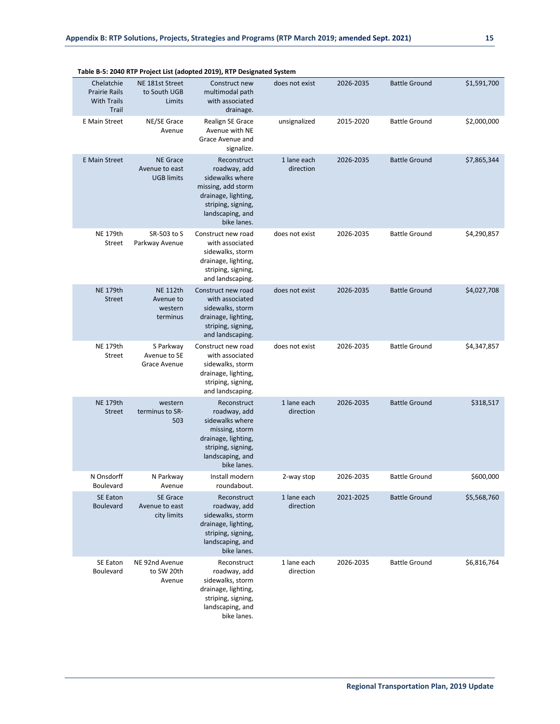|                                                                   |                                                        | rable b-5: 2040 KTP Project List (adopted 2019), KTP Designated System                                                                               |                          |           |                      |             |
|-------------------------------------------------------------------|--------------------------------------------------------|------------------------------------------------------------------------------------------------------------------------------------------------------|--------------------------|-----------|----------------------|-------------|
| Chelatchie<br><b>Prairie Rails</b><br><b>With Trails</b><br>Trail | NE 181st Street<br>to South UGB<br>Limits              | Construct new<br>multimodal path<br>with associated<br>drainage.                                                                                     | does not exist           | 2026-2035 | <b>Battle Ground</b> | \$1,591,700 |
| E Main Street                                                     | NE/SE Grace<br>Avenue                                  | Realign SE Grace<br>Avenue with NE<br>Grace Avenue and<br>signalize.                                                                                 | unsignalized             | 2015-2020 | <b>Battle Ground</b> | \$2,000,000 |
| <b>E</b> Main Street                                              | <b>NE Grace</b><br>Avenue to east<br><b>UGB limits</b> | Reconstruct<br>roadway, add<br>sidewalks where<br>missing, add storm<br>drainage, lighting,<br>striping, signing,<br>landscaping, and<br>bike lanes. | 1 lane each<br>direction | 2026-2035 | <b>Battle Ground</b> | \$7,865,344 |
| <b>NE 179th</b><br>Street                                         | SR-503 to S<br>Parkway Avenue                          | Construct new road<br>with associated<br>sidewalks, storm<br>drainage, lighting,<br>striping, signing,<br>and landscaping.                           | does not exist           | 2026-2035 | <b>Battle Ground</b> | \$4,290,857 |
| <b>NE 179th</b><br><b>Street</b>                                  | <b>NE 112th</b><br>Avenue to<br>western<br>terminus    | Construct new road<br>with associated<br>sidewalks, storm<br>drainage, lighting,<br>striping, signing,<br>and landscaping.                           | does not exist           | 2026-2035 | <b>Battle Ground</b> | \$4,027,708 |
| <b>NE 179th</b><br>Street                                         | S Parkway<br>Avenue to SE<br>Grace Avenue              | Construct new road<br>with associated<br>sidewalks, storm<br>drainage, lighting,<br>striping, signing,<br>and landscaping.                           | does not exist           | 2026-2035 | <b>Battle Ground</b> | \$4,347,857 |
| <b>NE 179th</b><br><b>Street</b>                                  | western<br>terminus to SR-<br>503                      | Reconstruct<br>roadway, add<br>sidewalks where<br>missing, storm<br>drainage, lighting,<br>striping, signing,<br>landscaping, and<br>bike lanes.     | 1 lane each<br>direction | 2026-2035 | <b>Battle Ground</b> | \$318,517   |
| N Onsdorff<br>Boulevard                                           | N Parkway<br>Avenue                                    | Install modern<br>roundabout.                                                                                                                        | 2-way stop               | 2026-2035 | <b>Battle Ground</b> | \$600,000   |
| <b>SE Eaton</b><br><b>Boulevard</b>                               | <b>SE Grace</b><br>Avenue to east<br>city limits       | Reconstruct<br>roadway, add<br>sidewalks, storm<br>drainage, lighting,<br>striping, signing,<br>landscaping, and<br>bike lanes.                      | 1 lane each<br>direction | 2021-2025 | <b>Battle Ground</b> | \$5,568,760 |
| SE Eaton<br>Boulevard                                             | NE 92nd Avenue<br>to SW 20th<br>Avenue                 | Reconstruct<br>roadway, add<br>sidewalks, storm<br>drainage, lighting,<br>striping, signing,<br>landscaping, and<br>bike lanes.                      | 1 lane each<br>direction | 2026-2035 | <b>Battle Ground</b> | \$6,816,764 |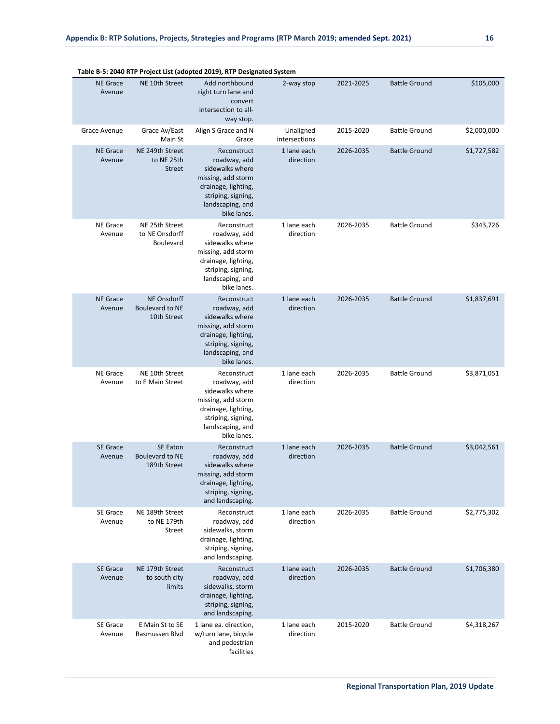|                           |                                                             | Table B-5: 2040 KTP Project List (adopted 2019), KTP Designated System                                                                               |                            |           |                      |             |
|---------------------------|-------------------------------------------------------------|------------------------------------------------------------------------------------------------------------------------------------------------------|----------------------------|-----------|----------------------|-------------|
| <b>NE Grace</b><br>Avenue | NE 10th Street                                              | Add northbound<br>right turn lane and<br>convert<br>intersection to all-<br>way stop.                                                                | 2-way stop                 | 2021-2025 | <b>Battle Ground</b> | \$105,000   |
| Grace Avenue              | Grace Av/East<br>Main St                                    | Align S Grace and N<br>Grace                                                                                                                         | Unaligned<br>intersections | 2015-2020 | <b>Battle Ground</b> | \$2,000,000 |
| <b>NE Grace</b><br>Avenue | NE 249th Street<br>to NE 25th<br><b>Street</b>              | Reconstruct<br>roadway, add<br>sidewalks where<br>missing, add storm<br>drainage, lighting,<br>striping, signing,<br>landscaping, and<br>bike lanes. | 1 lane each<br>direction   | 2026-2035 | <b>Battle Ground</b> | \$1,727,582 |
| <b>NE Grace</b><br>Avenue | NE 25th Street<br>to NE Onsdorff<br>Boulevard               | Reconstruct<br>roadway, add<br>sidewalks where<br>missing, add storm<br>drainage, lighting,<br>striping, signing,<br>landscaping, and<br>bike lanes. | 1 lane each<br>direction   | 2026-2035 | <b>Battle Ground</b> | \$343,726   |
| <b>NE Grace</b><br>Avenue | <b>NE Onsdorff</b><br><b>Boulevard to NE</b><br>10th Street | Reconstruct<br>roadway, add<br>sidewalks where<br>missing, add storm<br>drainage, lighting,<br>striping, signing,<br>landscaping, and<br>bike lanes. | 1 lane each<br>direction   | 2026-2035 | <b>Battle Ground</b> | \$1,837,691 |
| <b>NE Grace</b><br>Avenue | NE 10th Street<br>to E Main Street                          | Reconstruct<br>roadway, add<br>sidewalks where<br>missing, add storm<br>drainage, lighting,<br>striping, signing,<br>landscaping, and<br>bike lanes. | 1 lane each<br>direction   | 2026-2035 | <b>Battle Ground</b> | \$3,871,051 |
| <b>SE Grace</b><br>Avenue | <b>SE Eaton</b><br><b>Boulevard to NE</b><br>189th Street   | Reconstruct<br>roadway, add<br>sidewalks where<br>missing, add storm<br>drainage, lighting,<br>striping, signing,<br>and landscaping.                | 1 lane each<br>direction   | 2026-2035 | <b>Battle Ground</b> | \$3,042,561 |
| SE Grace<br>Avenue        | NE 189th Street<br>to NE 179th<br>Street                    | Reconstruct<br>roadway, add<br>sidewalks, storm<br>drainage, lighting,<br>striping, signing,<br>and landscaping.                                     | 1 lane each<br>direction   | 2026-2035 | <b>Battle Ground</b> | \$2,775,302 |
| <b>SE Grace</b><br>Avenue | NE 179th Street<br>to south city<br>limits                  | Reconstruct<br>roadway, add<br>sidewalks, storm<br>drainage, lighting,<br>striping, signing,<br>and landscaping.                                     | 1 lane each<br>direction   | 2026-2035 | <b>Battle Ground</b> | \$1,706,380 |
| <b>SE Grace</b><br>Avenue | E Main St to SE<br>Rasmussen Blvd                           | 1 lane ea. direction,<br>w/turn lane, bicycle<br>and pedestrian                                                                                      | 1 lane each<br>direction   | 2015-2020 | <b>Battle Ground</b> | \$4,318,267 |

facilities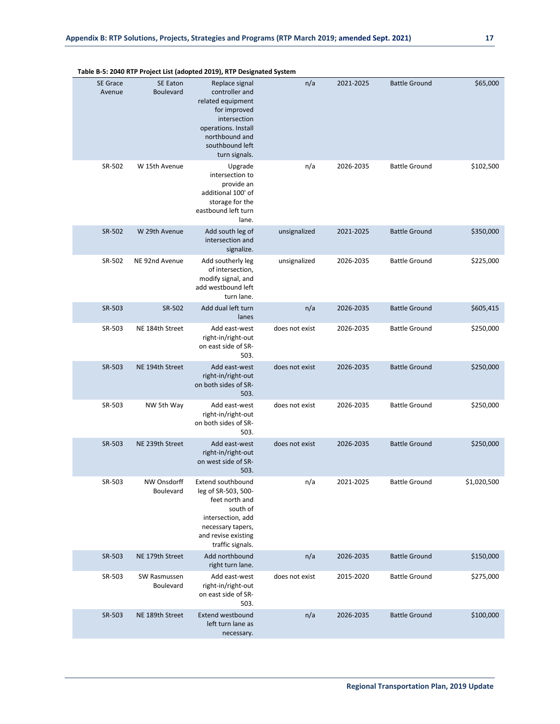|                           |                              | $3.20 + 0.001 + 0.000$ and the family construction of $3.20$                                                                                                       |                |           |                      |             |
|---------------------------|------------------------------|--------------------------------------------------------------------------------------------------------------------------------------------------------------------|----------------|-----------|----------------------|-------------|
| <b>SE Grace</b><br>Avenue | <b>SE Eaton</b><br>Boulevard | Replace signal<br>controller and<br>related equipment<br>for improved<br>intersection<br>operations. Install<br>northbound and<br>southbound left<br>turn signals. | n/a            | 2021-2025 | <b>Battle Ground</b> | \$65,000    |
| SR-502                    | W 15th Avenue                | Upgrade<br>intersection to<br>provide an<br>additional 100' of<br>storage for the<br>eastbound left turn<br>lane.                                                  | n/a            | 2026-2035 | <b>Battle Ground</b> | \$102,500   |
| SR-502                    | W 29th Avenue                | Add south leg of<br>intersection and<br>signalize.                                                                                                                 | unsignalized   | 2021-2025 | <b>Battle Ground</b> | \$350,000   |
| SR-502                    | NE 92nd Avenue               | Add southerly leg<br>of intersection,<br>modify signal, and<br>add westbound left<br>turn lane.                                                                    | unsignalized   | 2026-2035 | <b>Battle Ground</b> | \$225,000   |
| SR-503                    | SR-502                       | Add dual left turn<br>lanes                                                                                                                                        | n/a            | 2026-2035 | <b>Battle Ground</b> | \$605,415   |
| SR-503                    | NE 184th Street              | Add east-west<br>right-in/right-out<br>on east side of SR-<br>503.                                                                                                 | does not exist | 2026-2035 | <b>Battle Ground</b> | \$250,000   |
| SR-503                    | NE 194th Street              | Add east-west<br>right-in/right-out<br>on both sides of SR-<br>503.                                                                                                | does not exist | 2026-2035 | <b>Battle Ground</b> | \$250,000   |
| SR-503                    | NW 5th Way                   | Add east-west<br>right-in/right-out<br>on both sides of SR-<br>503.                                                                                                | does not exist | 2026-2035 | <b>Battle Ground</b> | \$250,000   |
| SR-503                    | NE 239th Street              | Add east-west<br>right-in/right-out<br>on west side of SR-<br>503.                                                                                                 | does not exist | 2026-2035 | <b>Battle Ground</b> | \$250,000   |
| SR-503                    | NW Onsdorff<br>Boulevard     | <b>Extend southbound</b><br>leg of SR-503, 500-<br>feet north and<br>south of<br>intersection, add<br>necessary tapers,<br>and revise existing<br>traffic signals. | n/a            | 2021-2025 | <b>Battle Ground</b> | \$1,020,500 |
| SR-503                    | NE 179th Street              | Add northbound<br>right turn lane.                                                                                                                                 | n/a            | 2026-2035 | <b>Battle Ground</b> | \$150,000   |
| SR-503                    | SW Rasmussen<br>Boulevard    | Add east-west<br>right-in/right-out<br>on east side of SR-<br>503.                                                                                                 | does not exist | 2015-2020 | <b>Battle Ground</b> | \$275,000   |
| SR-503                    | NE 189th Street              | <b>Extend westbound</b><br>left turn lane as<br>necessary.                                                                                                         | n/a            | 2026-2035 | <b>Battle Ground</b> | \$100,000   |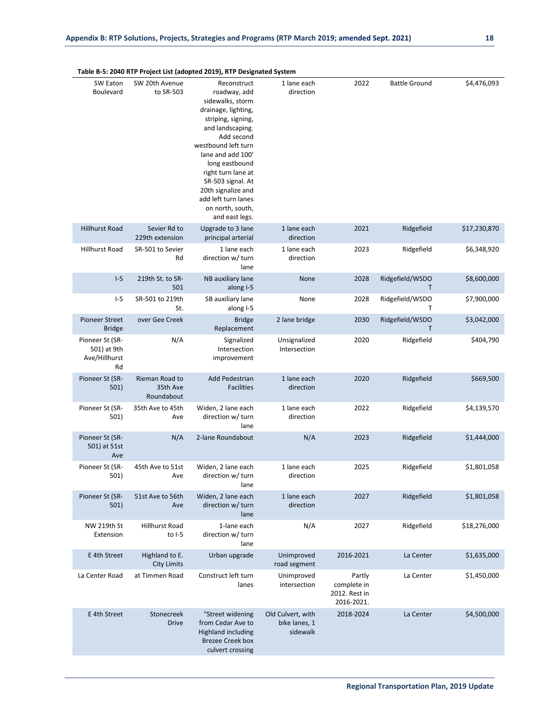|                                                       | Table B-5: 2040 RTP Project List (adopted 2019), RTP Designated System |                                                                                                                                                                                                                                                                                                                            |                              |      |                                 |              |  |  |  |  |  |
|-------------------------------------------------------|------------------------------------------------------------------------|----------------------------------------------------------------------------------------------------------------------------------------------------------------------------------------------------------------------------------------------------------------------------------------------------------------------------|------------------------------|------|---------------------------------|--------------|--|--|--|--|--|
| SW Eaton<br>Boulevard                                 | SW 20th Avenue<br>to SR-503                                            | Reconstruct<br>roadway, add<br>sidewalks, storm<br>drainage, lighting,<br>striping, signing,<br>and landscaping.<br>Add second<br>westbound left turn<br>lane and add 100'<br>long eastbound<br>right turn lane at<br>SR-503 signal. At<br>20th signalize and<br>add left turn lanes<br>on north, south,<br>and east legs. | 1 lane each<br>direction     | 2022 | <b>Battle Ground</b>            | \$4,476,093  |  |  |  |  |  |
| <b>Hillhurst Road</b>                                 | Sevier Rd to<br>229th extension                                        | Upgrade to 3 lane<br>principal arterial                                                                                                                                                                                                                                                                                    | 1 lane each<br>direction     | 2021 | Ridgefield                      | \$17,230,870 |  |  |  |  |  |
| <b>Hillhurst Road</b>                                 | SR-501 to Sevier<br>Rd                                                 | 1 lane each<br>direction w/ turn<br>lane                                                                                                                                                                                                                                                                                   | 1 lane each<br>direction     | 2023 | Ridgefield                      | \$6,348,920  |  |  |  |  |  |
| $I-5$                                                 | 219th St. to SR-<br>501                                                | NB auxiliary lane<br>along I-5                                                                                                                                                                                                                                                                                             | None                         | 2028 | Ridgefield/WSDO<br>T.           | \$8,600,000  |  |  |  |  |  |
| $1-5$                                                 | SR-501 to 219th<br>St.                                                 | SB auxiliary lane<br>along I-5                                                                                                                                                                                                                                                                                             | None                         | 2028 | Ridgefield/WSDO<br>$\mathsf{T}$ | \$7,900,000  |  |  |  |  |  |
| <b>Pioneer Street</b><br><b>Bridge</b>                | over Gee Creek                                                         | <b>Bridge</b><br>Replacement                                                                                                                                                                                                                                                                                               | 2 lane bridge                | 2030 | Ridgefield/WSDO<br>T            | \$3,042,000  |  |  |  |  |  |
| Pioneer St (SR-<br>501) at 9th<br>Ave/Hillhurst<br>Rd | N/A                                                                    | Signalized<br>Intersection<br>improvement                                                                                                                                                                                                                                                                                  | Unsignalized<br>Intersection | 2020 | Ridgefield                      | \$404,790    |  |  |  |  |  |
| Pioneer St (SR-<br>501)                               | Rieman Road to<br>35th Ave<br>Roundabout                               | <b>Add Pedestrian</b><br><b>Facilities</b>                                                                                                                                                                                                                                                                                 | 1 lane each<br>direction     | 2020 | Ridgefield                      | \$669,500    |  |  |  |  |  |
| Pioneer St (SR-<br>501)                               | 35th Ave to 45th<br>Ave                                                | Widen, 2 lane each<br>direction w/ turn<br>lane                                                                                                                                                                                                                                                                            | 1 lane each<br>direction     | 2022 | Ridgefield                      | \$4,139,570  |  |  |  |  |  |
| Pioneer St (SR-<br>501) at 51st<br>Ave                | N/A                                                                    | 2-lane Roundabout                                                                                                                                                                                                                                                                                                          | N/A                          | 2023 | Ridgefield                      | \$1,444,000  |  |  |  |  |  |
| Pioneer St (SR-<br>501)                               | 45th Ave to 51st<br>Ave                                                | Widen, 2 lane each<br>direction w/ turn                                                                                                                                                                                                                                                                                    | 1 lane each<br>direction     | 2025 | Ridgefield                      | \$1,801,058  |  |  |  |  |  |

NW 219th St Extension Hillhurst Road to I-5 1-lane each direction w/ turn lane N/A 2027 Ridgefield \$18,276,000 E 4th Street Highland to E. City Limits Urban upgrade Unimproved road segment 2016-2021 La Center \$1,635,000 La Center Road at Timmen Road Construct left turn lanes Unimproved intersection Partly complete in 2012. Rest in 2016-2021. La Center \$1,450,000 E 4th Street Stonecreek Drive "Street widening from Cedar Ave to Highland including Brezee Creek box culvert crossing Old Culvert, with bike lanes, 1 sidewalk 2018-2024 La Center \$4,500,000

1 lane each direction

lane

lane

Widen, 2 lane each direction w/ turn

Pioneer St (SR-501) 51st Ave to 56th

Ave

2027 Ridgefield \$1,801,058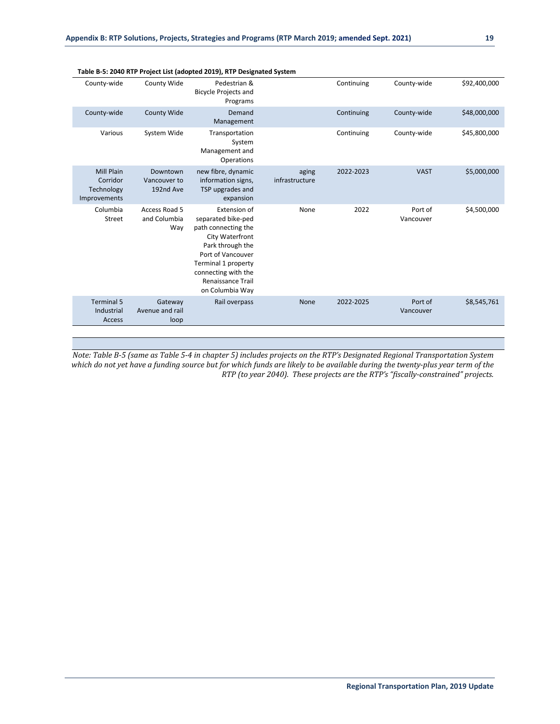|                                                             |                                       | Table b-5. 2040 KTP Project List (adopted 2019), KTP Designated System                                                                                                                                             |                         |            |                      |              |
|-------------------------------------------------------------|---------------------------------------|--------------------------------------------------------------------------------------------------------------------------------------------------------------------------------------------------------------------|-------------------------|------------|----------------------|--------------|
| County-wide                                                 | County Wide                           | Pedestrian &<br><b>Bicycle Projects and</b><br>Programs                                                                                                                                                            |                         | Continuing | County-wide          | \$92,400,000 |
| County-wide                                                 | County Wide                           | Demand<br>Management                                                                                                                                                                                               |                         | Continuing | County-wide          | \$48,000,000 |
| Various                                                     | System Wide                           | Transportation<br>System<br>Management and<br>Operations                                                                                                                                                           |                         | Continuing | County-wide          | \$45,800,000 |
| <b>Mill Plain</b><br>Corridor<br>Technology<br>Improvements | Downtown<br>Vancouver to<br>192nd Ave | new fibre, dynamic<br>information signs,<br>TSP upgrades and<br>expansion                                                                                                                                          | aging<br>infrastructure | 2022-2023  | <b>VAST</b>          | \$5,000,000  |
| Columbia<br>Street                                          | Access Road 5<br>and Columbia<br>Way  | Extension of<br>separated bike-ped<br>path connecting the<br>City Waterfront<br>Park through the<br>Port of Vancouver<br>Terminal 1 property<br>connecting with the<br><b>Renaissance Trail</b><br>on Columbia Way | None                    | 2022       | Port of<br>Vancouver | \$4,500,000  |
| <b>Terminal 5</b><br>Industrial<br>Access                   | Gateway<br>Avenue and rail<br>loop    | Rail overpass                                                                                                                                                                                                      | None                    | 2022-2025  | Port of<br>Vancouver | \$8,545,761  |

*Note: Table B-5 (same as Table 5-4 in chapter 5) includes projects on the RTP's Designated Regional Transportation System which do not yet have a funding source but for which funds are likely to be available during the twenty-plus year term of the RTP (to year 2040). These projects are the RTP's "fiscally-constrained" projects.*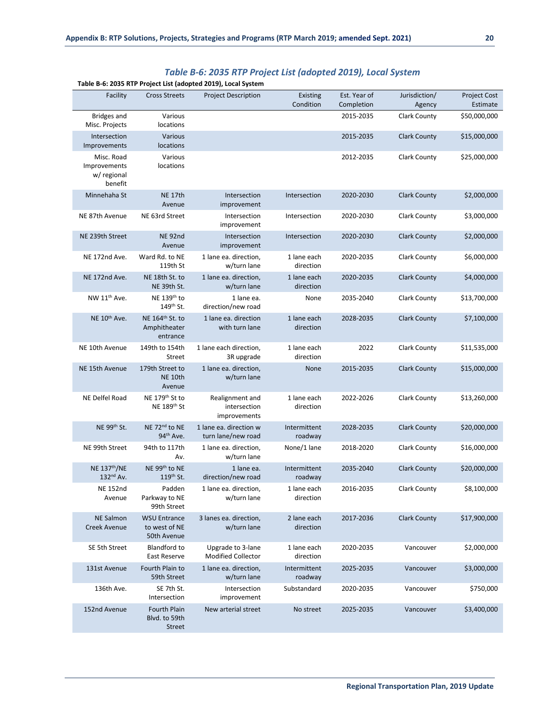| Table B-6: 2035 RTP Project List (adopted 2019), Local System |                                                         |                                                 |                          |                            |                         |                          |
|---------------------------------------------------------------|---------------------------------------------------------|-------------------------------------------------|--------------------------|----------------------------|-------------------------|--------------------------|
| Facility                                                      | <b>Cross Streets</b>                                    | <b>Project Description</b>                      | Existing<br>Condition    | Est. Year of<br>Completion | Jurisdiction/<br>Agency | Project Cost<br>Estimate |
| <b>Bridges and</b><br>Misc. Projects                          | Various<br>locations                                    |                                                 |                          | 2015-2035                  | <b>Clark County</b>     | \$50,000,000             |
| Intersection<br>Improvements                                  | Various<br>locations                                    |                                                 |                          | 2015-2035                  | <b>Clark County</b>     | \$15,000,000             |
| Misc. Road<br>Improvements<br>w/ regional<br>benefit          | Various<br>locations                                    |                                                 |                          | 2012-2035                  | <b>Clark County</b>     | \$25,000,000             |
| Minnehaha St                                                  | <b>NE 17th</b><br>Avenue                                | Intersection<br>improvement                     | Intersection             | 2020-2030                  | <b>Clark County</b>     | \$2,000,000              |
| NE 87th Avenue                                                | NE 63rd Street                                          | Intersection<br>improvement                     | Intersection             | 2020-2030                  | <b>Clark County</b>     | \$3,000,000              |
| NE 239th Street                                               | NE <sub>92nd</sub><br>Avenue                            | Intersection<br>improvement                     | Intersection             | 2020-2030                  | <b>Clark County</b>     | \$2,000,000              |
| NE 172nd Ave.                                                 | Ward Rd. to NE<br>119th St                              | 1 lane ea. direction,<br>w/turn lane            | 1 lane each<br>direction | 2020-2035                  | <b>Clark County</b>     | \$6,000,000              |
| NE 172nd Ave.                                                 | NE 18th St. to<br>NE 39th St.                           | 1 lane ea. direction,<br>w/turn lane            | 1 lane each<br>direction | 2020-2035                  | <b>Clark County</b>     | \$4,000,000              |
| NW 11 <sup>th</sup> Ave.                                      | NE 139th to<br>149 <sup>th</sup> St.                    | 1 lane ea.<br>direction/new road                | None                     | 2035-2040                  | <b>Clark County</b>     | \$13,700,000             |
| NE 10 <sup>th</sup> Ave.                                      | NE 164 <sup>th</sup> St. to<br>Amphitheater<br>entrance | 1 lane ea. direction<br>with turn lane          | 1 lane each<br>direction | 2028-2035                  | <b>Clark County</b>     | \$7,100,000              |
| NE 10th Avenue                                                | 149th to 154th<br><b>Street</b>                         | 1 lane each direction,<br>3R upgrade            | 1 lane each<br>direction | 2022                       | <b>Clark County</b>     | \$11,535,000             |
| NE 15th Avenue                                                | 179th Street to<br>NE 10th<br>Avenue                    | 1 lane ea. direction,<br>w/turn lane            | None                     | 2015-2035                  | <b>Clark County</b>     | \$15,000,000             |
| NE Delfel Road                                                | NE 179th St to<br>NE 189th St                           | Realignment and<br>intersection<br>improvements | 1 lane each<br>direction | 2022-2026                  | <b>Clark County</b>     | \$13,260,000             |
| NE 99th St.                                                   | NE 72 <sup>nd</sup> to NE<br>94 <sup>th</sup> Ave.      | 1 lane ea. direction w<br>turn lane/new road    | Intermittent<br>roadway  | 2028-2035                  | <b>Clark County</b>     | \$20,000,000             |
| NE 99th Street                                                | 94th to 117th<br>Av.                                    | 1 lane ea. direction,<br>w/turn lane            | None/1 lane              | 2018-2020                  | <b>Clark County</b>     | \$16,000,000             |
| <b>NE 137th/NE</b><br>132 <sup>nd</sup> Av.                   | NE 99th to NE<br>$119th$ St.                            | 1 lane ea.<br>direction/new road                | Intermittent<br>roadway  | 2035-2040                  | <b>Clark County</b>     | \$20,000,000             |
| <b>NE 152nd</b><br>Avenue                                     | Padden<br>Parkway to NE<br>99th Street                  | 1 lane ea. direction,<br>w/turn lane            | 1 lane each<br>direction | 2016-2035                  | <b>Clark County</b>     | \$8,100,000              |
| <b>NE Salmon</b><br>Creek Avenue                              | <b>WSU Entrance</b><br>to west of NE<br>50th Avenue     | 3 lanes ea. direction,<br>w/turn lane           | 2 lane each<br>direction | 2017-2036                  | <b>Clark County</b>     | \$17,900,000             |
| SE 5th Street                                                 | <b>Blandford to</b><br>East Reserve                     | Upgrade to 3-lane<br><b>Modified Collector</b>  | 1 lane each<br>direction | 2020-2035                  | Vancouver               | \$2,000,000              |
| 131st Avenue                                                  | Fourth Plain to<br>59th Street                          | 1 lane ea. direction,<br>w/turn lane            | Intermittent<br>roadway  | 2025-2035                  | Vancouver               | \$3,000,000              |
| 136th Ave.                                                    | SE 7th St.<br>Intersection                              | Intersection<br>improvement                     | Substandard              | 2020-2035                  | Vancouver               | \$750,000                |
| 152nd Avenue                                                  | Fourth Plain<br>Blvd. to 59th<br><b>Street</b>          | New arterial street                             | No street                | 2025-2035                  | Vancouver               | \$3,400,000              |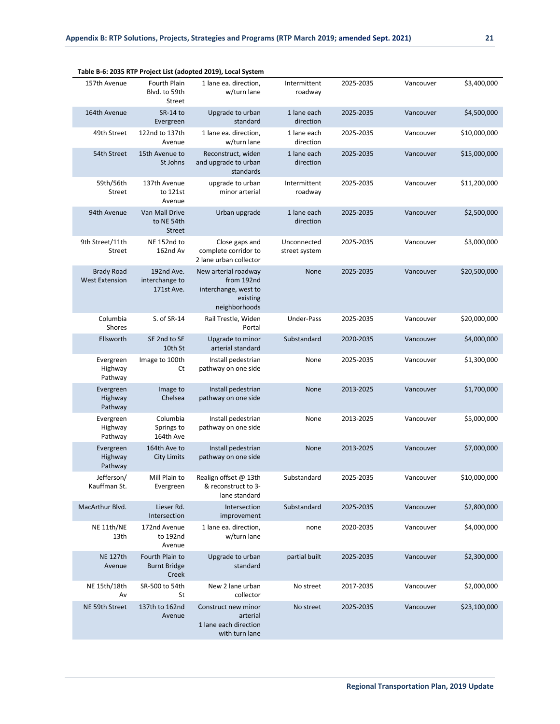|                                            |                                                 | Table B-6: 2035 RTP Project List (adopted 2019), Local System                           |                              |           |           |              |
|--------------------------------------------|-------------------------------------------------|-----------------------------------------------------------------------------------------|------------------------------|-----------|-----------|--------------|
| 157th Avenue                               | Fourth Plain<br>Blvd. to 59th<br>Street         | 1 lane ea. direction,<br>w/turn lane                                                    | Intermittent<br>roadway      | 2025-2035 | Vancouver | \$3,400,000  |
| 164th Avenue                               | SR-14 to<br>Evergreen                           | Upgrade to urban<br>standard                                                            | 1 lane each<br>direction     | 2025-2035 | Vancouver | \$4,500,000  |
| 49th Street                                | 122nd to 137th<br>Avenue                        | 1 lane ea. direction,<br>w/turn lane                                                    | 1 lane each<br>direction     | 2025-2035 | Vancouver | \$10,000,000 |
| 54th Street                                | 15th Avenue to<br>St Johns                      | Reconstruct, widen<br>and upgrade to urban<br>standards                                 | 1 lane each<br>direction     | 2025-2035 | Vancouver | \$15,000,000 |
| 59th/56th<br><b>Street</b>                 | 137th Avenue<br>to 121st<br>Avenue              | upgrade to urban<br>minor arterial                                                      | Intermittent<br>roadway      | 2025-2035 | Vancouver | \$11,200,000 |
| 94th Avenue                                | Van Mall Drive<br>to NE 54th<br><b>Street</b>   | Urban upgrade                                                                           | 1 lane each<br>direction     | 2025-2035 | Vancouver | \$2,500,000  |
| 9th Street/11th<br>Street                  | NE 152nd to<br>162nd Av                         | Close gaps and<br>complete corridor to<br>2 lane urban collector                        | Unconnected<br>street system | 2025-2035 | Vancouver | \$3,000,000  |
| <b>Brady Road</b><br><b>West Extension</b> | 192nd Ave.<br>interchange to<br>171st Ave.      | New arterial roadway<br>from 192nd<br>interchange, west to<br>existing<br>neighborhoods | None                         | 2025-2035 | Vancouver | \$20,500,000 |
| Columbia<br>Shores                         | S. of SR-14                                     | Rail Trestle, Widen<br>Portal                                                           | Under-Pass                   | 2025-2035 | Vancouver | \$20,000,000 |
| Ellsworth                                  | SE 2nd to SE<br>10th St                         | Upgrade to minor<br>arterial standard                                                   | Substandard                  | 2020-2035 | Vancouver | \$4,000,000  |
| Evergreen<br>Highway<br>Pathway            | Image to 100th<br>Ct                            | Install pedestrian<br>pathway on one side                                               | None                         | 2025-2035 | Vancouver | \$1,300,000  |
| Evergreen<br>Highway<br>Pathway            | Image to<br>Chelsea                             | Install pedestrian<br>pathway on one side                                               | None                         | 2013-2025 | Vancouver | \$1,700,000  |
| Evergreen<br>Highway<br>Pathway            | Columbia<br>Springs to<br>164th Ave             | Install pedestrian<br>pathway on one side                                               | None                         | 2013-2025 | Vancouver | \$5,000,000  |
| Evergreen<br>Highway<br>Pathway            | 164th Ave to<br><b>City Limits</b>              | Install pedestrian<br>pathway on one side                                               | None                         | 2013-2025 | Vancouver | \$7,000,000  |
| Jefferson/<br>Kauffman St.                 | Mill Plain to<br>Evergreen                      | Realign offset @ 13th<br>& reconstruct to 3-<br>lane standard                           | Substandard                  | 2025-2035 | Vancouver | \$10,000,000 |
| MacArthur Blvd.                            | Lieser Rd.<br>Intersection                      | Intersection<br>improvement                                                             | Substandard                  | 2025-2035 | Vancouver | \$2,800,000  |
| NE 11th/NE<br>13th                         | 172nd Avenue<br>to 192nd<br>Avenue              | 1 lane ea. direction,<br>w/turn lane                                                    | none                         | 2020-2035 | Vancouver | \$4,000,000  |
| <b>NE 127th</b><br>Avenue                  | Fourth Plain to<br><b>Burnt Bridge</b><br>Creek | Upgrade to urban<br>standard                                                            | partial built                | 2025-2035 | Vancouver | \$2,300,000  |
| NE 15th/18th<br>Av                         | SR-500 to 54th<br>St                            | New 2 lane urban<br>collector                                                           | No street                    | 2017-2035 | Vancouver | \$2,000,000  |
| NE 59th Street                             | 137th to 162nd<br>Avenue                        | Construct new minor<br>arterial<br>1 lane each direction<br>with turn lane              | No street                    | 2025-2035 | Vancouver | \$23,100,000 |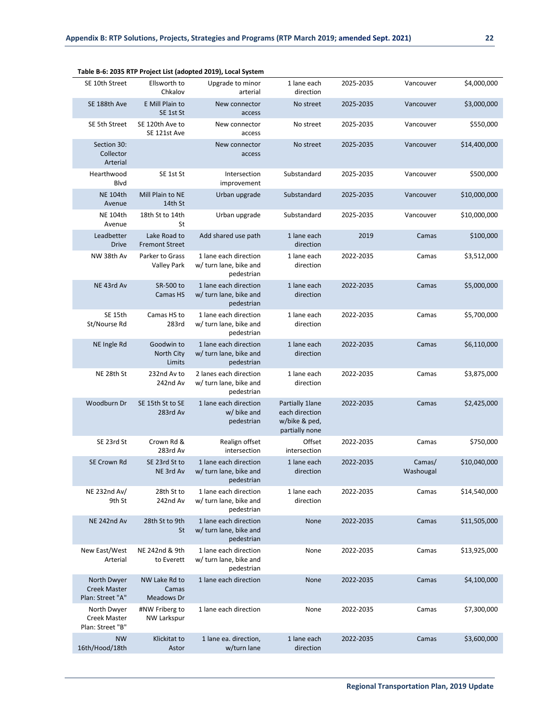|                                                        |                                       | Table B-6: 2035 KTP Project List (adopted 2019), Local System  |                                                                       |           |                     |              |
|--------------------------------------------------------|---------------------------------------|----------------------------------------------------------------|-----------------------------------------------------------------------|-----------|---------------------|--------------|
| SE 10th Street                                         | Ellsworth to<br>Chkalov               | Upgrade to minor<br>arterial                                   | 1 lane each<br>direction                                              | 2025-2035 | Vancouver           | \$4,000,000  |
| SE 188th Ave                                           | E Mill Plain to<br>SE 1st St          | New connector<br>access                                        | No street                                                             | 2025-2035 | Vancouver           | \$3,000,000  |
| SE 5th Street                                          | SE 120th Ave to<br>SE 121st Ave       | New connector<br>access                                        | No street                                                             | 2025-2035 | Vancouver           | \$550,000    |
| Section 30:<br>Collector<br>Arterial                   |                                       | New connector<br>access                                        | No street                                                             | 2025-2035 | Vancouver           | \$14,400,000 |
| Hearthwood<br>Blvd                                     | SE 1st St                             | Intersection<br>improvement                                    | Substandard                                                           | 2025-2035 | Vancouver           | \$500,000    |
| <b>NE 104th</b><br>Avenue                              | Mill Plain to NE<br>14th St           | Urban upgrade                                                  | Substandard                                                           | 2025-2035 | Vancouver           | \$10,000,000 |
| <b>NE 104th</b><br>Avenue                              | 18th St to 14th<br>St                 | Urban upgrade                                                  | Substandard                                                           | 2025-2035 | Vancouver           | \$10,000,000 |
| Leadbetter<br><b>Drive</b>                             | Lake Road to<br><b>Fremont Street</b> | Add shared use path                                            | 1 lane each<br>direction                                              | 2019      | Camas               | \$100,000    |
| NW 38th Av                                             | Parker to Grass<br><b>Valley Park</b> | 1 lane each direction<br>w/ turn lane, bike and<br>pedestrian  | 1 lane each<br>direction                                              | 2022-2035 | Camas               | \$3,512,000  |
| NE 43rd Av                                             | SR-500 to<br><b>Camas HS</b>          | 1 lane each direction<br>w/ turn lane, bike and<br>pedestrian  | 1 lane each<br>direction                                              | 2022-2035 | Camas               | \$5,000,000  |
| SE 15th<br>St/Nourse Rd                                | Camas HS to<br>283rd                  | 1 lane each direction<br>w/ turn lane, bike and<br>pedestrian  | 1 lane each<br>direction                                              | 2022-2035 | Camas               | \$5,700,000  |
| NE Ingle Rd                                            | Goodwin to<br>North City<br>Limits    | 1 lane each direction<br>w/ turn lane, bike and<br>pedestrian  | 1 lane each<br>direction                                              | 2022-2035 | Camas               | \$6,110,000  |
| NE 28th St                                             | 232nd Av to<br>242nd Av               | 2 lanes each direction<br>w/ turn lane, bike and<br>pedestrian | 1 lane each<br>direction                                              | 2022-2035 | Camas               | \$3,875,000  |
| Woodburn Dr                                            | SE 15th St to SE<br>283rd Av          | 1 lane each direction<br>w/ bike and<br>pedestrian             | Partially 1 lane<br>each direction<br>w/bike & ped,<br>partially none | 2022-2035 | Camas               | \$2,425,000  |
| SE 23rd St                                             | Crown Rd &<br>283rd Av                | Realign offset<br>intersection                                 | Offset<br>intersection                                                | 2022-2035 | Camas               | \$750,000    |
| SE Crown Rd                                            | SE 23rd St to<br>NE 3rd Av            | 1 lane each direction<br>w/ turn lane, bike and<br>pedestrian  | 1 lane each<br>direction                                              | 2022-2035 | Camas/<br>Washougal | \$10,040,000 |
| NE 232nd Av/<br>9th St                                 | 28th St to<br>242nd Av                | 1 lane each direction<br>w/ turn lane, bike and<br>pedestrian  | 1 lane each<br>direction                                              | 2022-2035 | Camas               | \$14,540,000 |
| NE 242nd Av                                            | 28th St to 9th<br><b>St</b>           | 1 lane each direction<br>w/ turn lane, bike and<br>pedestrian  | None                                                                  | 2022-2035 | Camas               | \$11,505,000 |
| New East/West<br>Arterial                              | NE 242nd & 9th<br>to Everett          | 1 lane each direction<br>w/ turn lane, bike and<br>pedestrian  | None                                                                  | 2022-2035 | Camas               | \$13,925,000 |
| North Dwyer<br><b>Creek Master</b><br>Plan: Street "A" | NW Lake Rd to<br>Camas<br>Meadows Dr  | 1 lane each direction                                          | None                                                                  | 2022-2035 | Camas               | \$4,100,000  |
| North Dwyer<br>Creek Master<br>Plan: Street "B"        | #NW Friberg to<br>NW Larkspur         | 1 lane each direction                                          | None                                                                  | 2022-2035 | Camas               | \$7,300,000  |
| <b>NW</b><br>16th/Hood/18th                            | Klickitat to<br>Astor                 | 1 lane ea. direction,<br>w/turn lane                           | 1 lane each<br>direction                                              | 2022-2035 | Camas               | \$3,600,000  |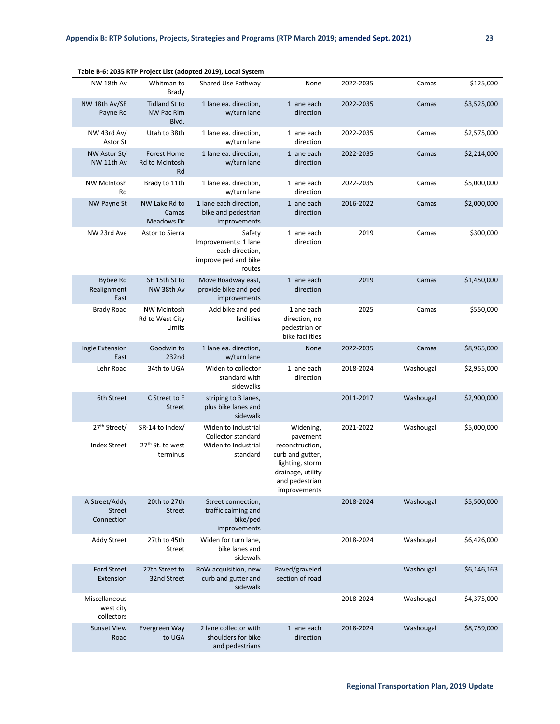|                                                 |                                                    | Table B-6: 2035 RTP Project List (adopted 2019), Local System                       |                                                                                                                                        |           |           |             |
|-------------------------------------------------|----------------------------------------------------|-------------------------------------------------------------------------------------|----------------------------------------------------------------------------------------------------------------------------------------|-----------|-----------|-------------|
| NW 18th Av                                      | Whitman to<br><b>Brady</b>                         | Shared Use Pathway                                                                  | None                                                                                                                                   | 2022-2035 | Camas     | \$125,000   |
| NW 18th Av/SE<br>Payne Rd                       | <b>Tidland St to</b><br><b>NW Pac Rim</b><br>Blvd. | 1 lane ea. direction,<br>w/turn lane                                                | 1 lane each<br>direction                                                                                                               | 2022-2035 | Camas     | \$3,525,000 |
| NW 43rd Av/<br>Astor St                         | Utah to 38th                                       | 1 lane ea. direction,<br>w/turn lane                                                | 1 lane each<br>direction                                                                                                               | 2022-2035 | Camas     | \$2,575,000 |
| NW Astor St/<br>NW 11th Av                      | <b>Forest Home</b><br><b>Rd to McIntosh</b><br>Rd  | 1 lane ea. direction,<br>w/turn lane                                                | 1 lane each<br>direction                                                                                                               | 2022-2035 | Camas     | \$2,214,000 |
| <b>NW McIntosh</b><br>Rd                        | Brady to 11th                                      | 1 lane ea. direction,<br>w/turn lane                                                | 1 lane each<br>direction                                                                                                               | 2022-2035 | Camas     | \$5,000,000 |
| <b>NW Payne St</b>                              | NW Lake Rd to<br>Camas<br>Meadows Dr               | 1 lane each direction,<br>bike and pedestrian<br>improvements                       | 1 lane each<br>direction                                                                                                               | 2016-2022 | Camas     | \$2,000,000 |
| NW 23rd Ave                                     | Astor to Sierra                                    | Safety<br>Improvements: 1 lane<br>each direction,<br>improve ped and bike<br>routes | 1 lane each<br>direction                                                                                                               | 2019      | Camas     | \$300,000   |
| <b>Bybee Rd</b><br>Realignment<br>East          | SE 15th St to<br>NW 38th Av                        | Move Roadway east,<br>provide bike and ped<br>improvements                          | 1 lane each<br>direction                                                                                                               | 2019      | Camas     | \$1,450,000 |
| <b>Brady Road</b>                               | <b>NW McIntosh</b><br>Rd to West City<br>Limits    | Add bike and ped<br>facilities                                                      | 1lane each<br>direction, no<br>pedestrian or<br>bike facilities                                                                        | 2025      | Camas     | \$550,000   |
| Ingle Extension<br>East                         | Goodwin to<br>232nd                                | 1 lane ea. direction,<br>w/turn lane                                                | None                                                                                                                                   | 2022-2035 | Camas     | \$8,965,000 |
| Lehr Road                                       | 34th to UGA                                        | Widen to collector<br>standard with<br>sidewalks                                    | 1 lane each<br>direction                                                                                                               | 2018-2024 | Washougal | \$2,955,000 |
| 6th Street                                      | C Street to E<br><b>Street</b>                     | striping to 3 lanes,<br>plus bike lanes and<br>sidewalk                             |                                                                                                                                        | 2011-2017 | Washougal | \$2,900,000 |
| 27 <sup>th</sup> Street/<br><b>Index Street</b> | SR-14 to Index/<br>27th St. to west<br>terminus    | Widen to Industrial<br>Collector standard<br>Widen to Industrial<br>standard        | Widening,<br>pavement<br>reconstruction,<br>curb and gutter,<br>lighting, storm<br>drainage, utility<br>and pedestrian<br>improvements | 2021-2022 | Washougal | \$5,000,000 |
| A Street/Addy<br>Street<br>Connection           | 20th to 27th<br><b>Street</b>                      | Street connection,<br>traffic calming and<br>bike/ped<br>improvements               |                                                                                                                                        | 2018-2024 | Washougal | \$5,500,000 |
| <b>Addy Street</b>                              | 27th to 45th<br>Street                             | Widen for turn lane,<br>bike lanes and<br>sidewalk                                  |                                                                                                                                        | 2018-2024 | Washougal | \$6,426,000 |
| <b>Ford Street</b><br>Extension                 | 27th Street to<br>32nd Street                      | RoW acquisition, new<br>curb and gutter and<br>sidewalk                             | Paved/graveled<br>section of road                                                                                                      |           | Washougal | \$6,146,163 |
| Miscellaneous<br>west city<br>collectors        |                                                    |                                                                                     |                                                                                                                                        | 2018-2024 | Washougal | \$4,375,000 |
| <b>Sunset View</b><br>Road                      | Evergreen Way<br>to UGA                            | 2 lane collector with<br>shoulders for bike<br>and pedestrians                      | 1 lane each<br>direction                                                                                                               | 2018-2024 | Washougal | \$8,759,000 |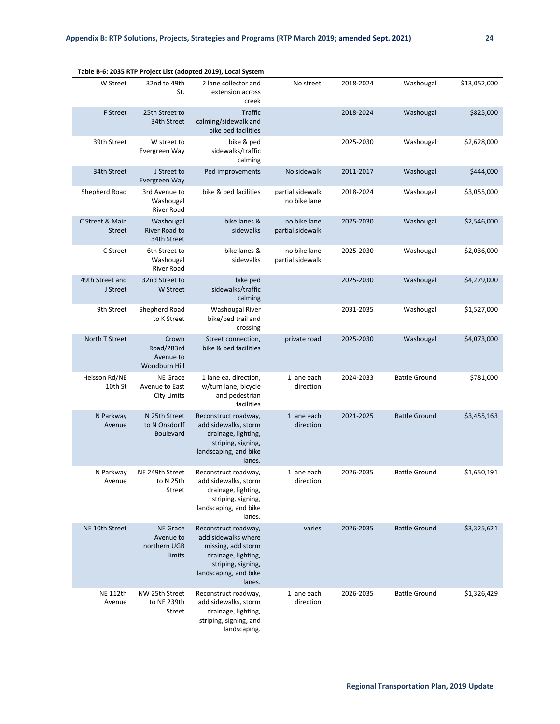|                                  |                                                         | Table B-6: 2035 RTP Project List (adopted 2019), Local System                                                                                     |                                  |           |                      |              |
|----------------------------------|---------------------------------------------------------|---------------------------------------------------------------------------------------------------------------------------------------------------|----------------------------------|-----------|----------------------|--------------|
| W Street                         | 32nd to 49th<br>St.                                     | 2 lane collector and<br>extension across<br>creek                                                                                                 | No street                        | 2018-2024 | Washougal            | \$13,052,000 |
| <b>F</b> Street                  | 25th Street to<br>34th Street                           | Traffic<br>calming/sidewalk and<br>bike ped facilities                                                                                            |                                  | 2018-2024 | Washougal            | \$825,000    |
| 39th Street                      | W street to<br>Evergreen Way                            | bike & ped<br>sidewalks/traffic<br>calming                                                                                                        |                                  | 2025-2030 | Washougal            | \$2,628,000  |
| 34th Street                      | J Street to<br>Evergreen Way                            | Ped improvements                                                                                                                                  | No sidewalk                      | 2011-2017 | Washougal            | \$444,000    |
| Shepherd Road                    | 3rd Avenue to<br>Washougal<br>River Road                | bike & ped facilities                                                                                                                             | partial sidewalk<br>no bike lane | 2018-2024 | Washougal            | \$3,055,000  |
| C Street & Main<br><b>Street</b> | Washougal<br>River Road to<br>34th Street               | bike lanes &<br>sidewalks                                                                                                                         | no bike lane<br>partial sidewalk | 2025-2030 | Washougal            | \$2,546,000  |
| C Street                         | 6th Street to<br>Washougal<br>River Road                | bike lanes &<br>sidewalks                                                                                                                         | no bike lane<br>partial sidewalk | 2025-2030 | Washougal            | \$2,036,000  |
| 49th Street and<br>J Street      | 32nd Street to<br><b>W</b> Street                       | bike ped<br>sidewalks/traffic<br>calming                                                                                                          |                                  | 2025-2030 | Washougal            | \$4,279,000  |
| 9th Street                       | Shepherd Road<br>to K Street                            | <b>Washougal River</b><br>bike/ped trail and<br>crossing                                                                                          |                                  | 2031-2035 | Washougal            | \$1,527,000  |
| North T Street                   | Crown<br>Road/283rd<br>Avenue to<br>Woodburn Hill       | Street connection,<br>bike & ped facilities                                                                                                       | private road                     | 2025-2030 | Washougal            | \$4,073,000  |
| Heisson Rd/NE<br>10th St         | <b>NE Grace</b><br>Avenue to East<br><b>City Limits</b> | 1 lane ea. direction,<br>w/turn lane, bicycle<br>and pedestrian<br>facilities                                                                     | 1 lane each<br>direction         | 2024-2033 | <b>Battle Ground</b> | \$781,000    |
| N Parkway<br>Avenue              | N 25th Street<br>to N Onsdorff<br><b>Boulevard</b>      | Reconstruct roadway,<br>add sidewalks, storm<br>drainage, lighting,<br>striping, signing,<br>landscaping, and bike<br>lanes.                      | 1 lane each<br>direction         | 2021-2025 | <b>Battle Ground</b> | \$3,455,163  |
| N Parkway<br>Avenue              | NE 249th Street<br>to N 25th<br><b>Street</b>           | Reconstruct roadway,<br>add sidewalks, storm<br>drainage, lighting,<br>striping, signing,<br>landscaping, and bike<br>lanes.                      | 1 lane each<br>direction         | 2026-2035 | <b>Battle Ground</b> | \$1,650,191  |
| NE 10th Street                   | <b>NE Grace</b><br>Avenue to<br>northern UGB<br>limits  | Reconstruct roadway,<br>add sidewalks where<br>missing, add storm<br>drainage, lighting,<br>striping, signing,<br>landscaping, and bike<br>lanes. | varies                           | 2026-2035 | <b>Battle Ground</b> | \$3,325,621  |
| <b>NE 112th</b><br>Avenue        | NW 25th Street<br>to NE 239th<br><b>Street</b>          | Reconstruct roadway,<br>add sidewalks, storm<br>drainage, lighting,<br>striping, signing, and<br>landscaping.                                     | 1 lane each<br>direction         | 2026-2035 | <b>Battle Ground</b> | \$1,326,429  |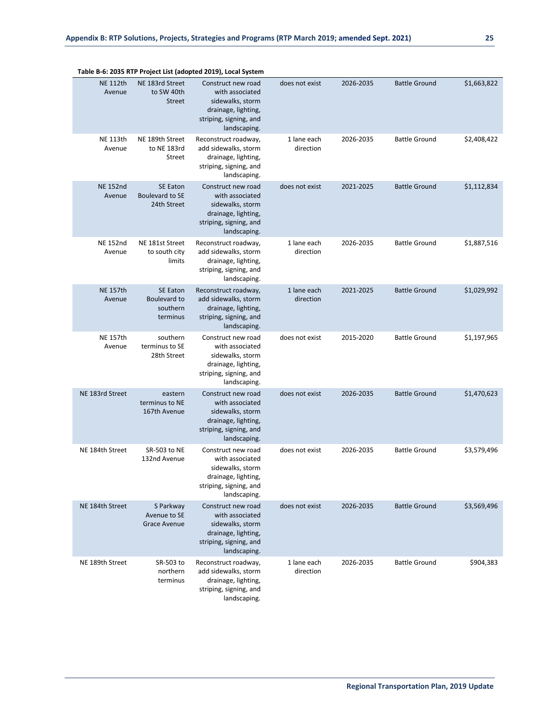|                           | oe mae faanheen m                                        |                                                                                                                            |                          |           |                      |             |
|---------------------------|----------------------------------------------------------|----------------------------------------------------------------------------------------------------------------------------|--------------------------|-----------|----------------------|-------------|
| <b>NE 112th</b><br>Avenue | NE 183rd Street<br>to SW 40th<br><b>Street</b>           | Construct new road<br>with associated<br>sidewalks, storm<br>drainage, lighting,<br>striping, signing, and<br>landscaping. | does not exist           | 2026-2035 | <b>Battle Ground</b> | \$1,663,822 |
| <b>NE 113th</b><br>Avenue | NE 189th Street<br>to NE 183rd<br>Street                 | Reconstruct roadway,<br>add sidewalks, storm<br>drainage, lighting,<br>striping, signing, and<br>landscaping.              | 1 lane each<br>direction | 2026-2035 | <b>Battle Ground</b> | \$2,408,422 |
| <b>NE 152nd</b><br>Avenue | <b>SE Eaton</b><br><b>Boulevard to SE</b><br>24th Street | Construct new road<br>with associated<br>sidewalks, storm<br>drainage, lighting,<br>striping, signing, and<br>landscaping. | does not exist           | 2021-2025 | <b>Battle Ground</b> | \$1,112,834 |
| <b>NE 152nd</b><br>Avenue | NE 181st Street<br>to south city<br>limits               | Reconstruct roadway,<br>add sidewalks, storm<br>drainage, lighting,<br>striping, signing, and<br>landscaping.              | 1 lane each<br>direction | 2026-2035 | <b>Battle Ground</b> | \$1,887,516 |
| <b>NE 157th</b><br>Avenue | <b>SE Eaton</b><br>Boulevard to<br>southern<br>terminus  | Reconstruct roadway,<br>add sidewalks, storm<br>drainage, lighting,<br>striping, signing, and<br>landscaping.              | 1 lane each<br>direction | 2021-2025 | <b>Battle Ground</b> | \$1,029,992 |
| <b>NE 157th</b><br>Avenue | southern<br>terminus to SE<br>28th Street                | Construct new road<br>with associated<br>sidewalks, storm<br>drainage, lighting,<br>striping, signing, and<br>landscaping. | does not exist           | 2015-2020 | <b>Battle Ground</b> | \$1,197,965 |
| NE 183rd Street           | eastern<br>terminus to NE<br>167th Avenue                | Construct new road<br>with associated<br>sidewalks, storm<br>drainage, lighting,<br>striping, signing, and<br>landscaping. | does not exist           | 2026-2035 | <b>Battle Ground</b> | \$1,470,623 |
| NE 184th Street           | SR-503 to NE<br>132nd Avenue                             | Construct new road<br>with associated<br>sidewalks, storm<br>drainage, lighting,<br>striping, signing, and<br>landscaping. | does not exist           | 2026-2035 | <b>Battle Ground</b> | \$3,579,496 |
| NE 184th Street           | S Parkway<br>Avenue to SE<br><b>Grace Avenue</b>         | Construct new road<br>with associated<br>sidewalks, storm<br>drainage, lighting,<br>striping, signing, and<br>landscaping. | does not exist           | 2026-2035 | <b>Battle Ground</b> | \$3,569,496 |
| NE 189th Street           | SR-503 to<br>northern<br>terminus                        | Reconstruct roadway,<br>add sidewalks, storm<br>drainage, lighting,<br>striping, signing, and<br>landscaping.              | 1 lane each<br>direction | 2026-2035 | <b>Battle Ground</b> | \$904,383   |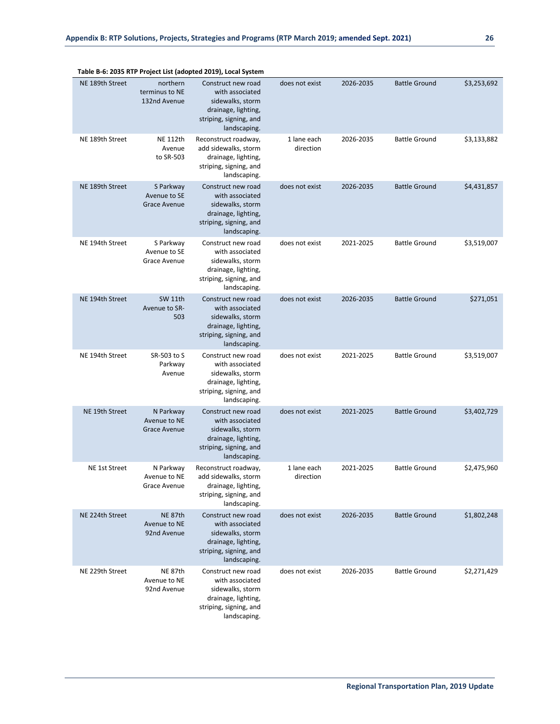|                 |                                                  | rable b-o. 2055 KTP Project List (adopted 2019), Local System                                                              |                          |           |                      |             |
|-----------------|--------------------------------------------------|----------------------------------------------------------------------------------------------------------------------------|--------------------------|-----------|----------------------|-------------|
| NE 189th Street | northern<br>terminus to NE<br>132nd Avenue       | Construct new road<br>with associated<br>sidewalks, storm<br>drainage, lighting,<br>striping, signing, and<br>landscaping. | does not exist           | 2026-2035 | <b>Battle Ground</b> | \$3,253,692 |
| NE 189th Street | <b>NE 112th</b><br>Avenue<br>to SR-503           | Reconstruct roadway,<br>add sidewalks, storm<br>drainage, lighting,<br>striping, signing, and<br>landscaping.              | 1 lane each<br>direction | 2026-2035 | <b>Battle Ground</b> | \$3,133,882 |
| NE 189th Street | S Parkway<br>Avenue to SE<br><b>Grace Avenue</b> | Construct new road<br>with associated<br>sidewalks, storm<br>drainage, lighting,<br>striping, signing, and<br>landscaping. | does not exist           | 2026-2035 | <b>Battle Ground</b> | \$4,431,857 |
| NE 194th Street | S Parkway<br>Avenue to SE<br>Grace Avenue        | Construct new road<br>with associated<br>sidewalks, storm<br>drainage, lighting,<br>striping, signing, and<br>landscaping. | does not exist           | 2021-2025 | <b>Battle Ground</b> | \$3,519,007 |
| NE 194th Street | SW 11th<br>Avenue to SR-<br>503                  | Construct new road<br>with associated<br>sidewalks, storm<br>drainage, lighting,<br>striping, signing, and<br>landscaping. | does not exist           | 2026-2035 | <b>Battle Ground</b> | \$271,051   |
| NE 194th Street | SR-503 to S<br>Parkway<br>Avenue                 | Construct new road<br>with associated<br>sidewalks, storm<br>drainage, lighting,<br>striping, signing, and<br>landscaping. | does not exist           | 2021-2025 | <b>Battle Ground</b> | \$3,519,007 |
| NE 19th Street  | N Parkway<br>Avenue to NE<br><b>Grace Avenue</b> | Construct new road<br>with associated<br>sidewalks, storm<br>drainage, lighting,<br>striping, signing, and<br>landscaping. | does not exist           | 2021-2025 | <b>Battle Ground</b> | \$3,402,729 |
| NE 1st Street   | N Parkway<br>Avenue to NE<br>Grace Avenue        | Reconstruct roadway,<br>add sidewalks, storm<br>drainage, lighting,<br>striping, signing, and<br>landscaping.              | 1 lane each<br>direction | 2021-2025 | <b>Battle Ground</b> | \$2,475,960 |
| NE 224th Street | NE 87th<br>Avenue to NE<br>92nd Avenue           | Construct new road<br>with associated<br>sidewalks, storm<br>drainage, lighting,<br>striping, signing, and<br>landscaping. | does not exist           | 2026-2035 | <b>Battle Ground</b> | \$1,802,248 |
| NE 229th Street | NE 87th<br>Avenue to NE<br>92nd Avenue           | Construct new road<br>with associated<br>sidewalks, storm<br>drainage, lighting,<br>striping, signing, and<br>landscaping. | does not exist           | 2026-2035 | <b>Battle Ground</b> | \$2,271,429 |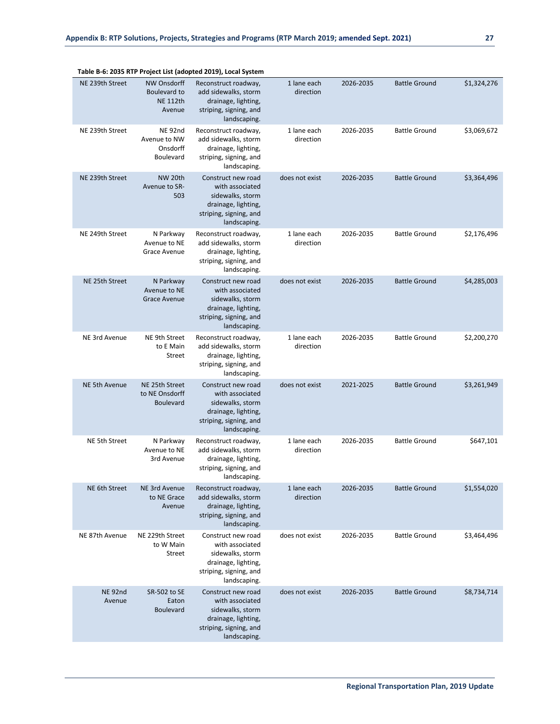|                              |                                                          | Table B-6: 2035 KTP Project List (adopted 2019), Local System                                                              |                          |           |                      |             |
|------------------------------|----------------------------------------------------------|----------------------------------------------------------------------------------------------------------------------------|--------------------------|-----------|----------------------|-------------|
| NE 239th Street              | NW Onsdorff<br>Boulevard to<br><b>NE 112th</b><br>Avenue | Reconstruct roadway,<br>add sidewalks, storm<br>drainage, lighting,<br>striping, signing, and<br>landscaping.              | 1 lane each<br>direction | 2026-2035 | <b>Battle Ground</b> | \$1,324,276 |
| NE 239th Street              | NE 92nd<br>Avenue to NW<br>Onsdorff<br><b>Boulevard</b>  | Reconstruct roadway,<br>add sidewalks, storm<br>drainage, lighting,<br>striping, signing, and<br>landscaping.              | 1 lane each<br>direction | 2026-2035 | <b>Battle Ground</b> | \$3,069,672 |
| NE 239th Street              | NW 20th<br>Avenue to SR-<br>503                          | Construct new road<br>with associated<br>sidewalks, storm<br>drainage, lighting,<br>striping, signing, and<br>landscaping. | does not exist           | 2026-2035 | <b>Battle Ground</b> | \$3,364,496 |
| NE 249th Street              | N Parkway<br>Avenue to NE<br>Grace Avenue                | Reconstruct roadway,<br>add sidewalks, storm<br>drainage, lighting,<br>striping, signing, and<br>landscaping.              | 1 lane each<br>direction | 2026-2035 | <b>Battle Ground</b> | \$2,176,496 |
| NE 25th Street               | N Parkway<br>Avenue to NE<br>Grace Avenue                | Construct new road<br>with associated<br>sidewalks, storm<br>drainage, lighting,<br>striping, signing, and<br>landscaping. | does not exist           | 2026-2035 | <b>Battle Ground</b> | \$4,285,003 |
| NE 3rd Avenue                | NE 9th Street<br>to E Main<br>Street                     | Reconstruct roadway,<br>add sidewalks, storm<br>drainage, lighting,<br>striping, signing, and<br>landscaping.              | 1 lane each<br>direction | 2026-2035 | <b>Battle Ground</b> | \$2,200,270 |
| NE 5th Avenue                | NE 25th Street<br>to NE Onsdorff<br><b>Boulevard</b>     | Construct new road<br>with associated<br>sidewalks, storm<br>drainage, lighting,<br>striping, signing, and<br>landscaping. | does not exist           | 2021-2025 | <b>Battle Ground</b> | \$3,261,949 |
| NE 5th Street                | N Parkway<br>Avenue to NE<br>3rd Avenue                  | Reconstruct roadway,<br>add sidewalks, storm<br>drainage, lighting,<br>striping, signing, and<br>landscaping.              | 1 lane each<br>direction | 2026-2035 | <b>Battle Ground</b> | \$647,101   |
| NE 6th Street                | <b>NE 3rd Avenue</b><br>to NE Grace<br>Avenue            | Reconstruct roadway,<br>add sidewalks, storm<br>drainage, lighting,<br>striping, signing, and<br>landscaping.              | 1 lane each<br>direction | 2026-2035 | <b>Battle Ground</b> | \$1,554,020 |
| NE 87th Avenue               | NE 229th Street<br>to W Main<br>Street                   | Construct new road<br>with associated<br>sidewalks, storm<br>drainage, lighting,<br>striping, signing, and<br>landscaping. | does not exist           | 2026-2035 | <b>Battle Ground</b> | \$3,464,496 |
| NE <sub>92nd</sub><br>Avenue | SR-502 to SE<br>Eaton<br><b>Boulevard</b>                | Construct new road<br>with associated<br>sidewalks, storm<br>drainage, lighting,<br>striping, signing, and<br>landscaping. | does not exist           | 2026-2035 | <b>Battle Ground</b> | \$8,734,714 |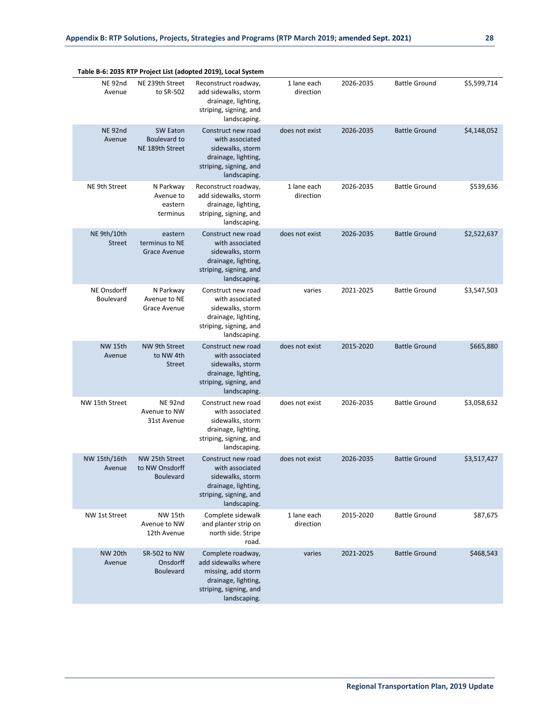|                              |                                                      | Table B-6: 2035 RTP Project List (adopted 2019), Local System                                                                   |                          |           |                      |             |
|------------------------------|------------------------------------------------------|---------------------------------------------------------------------------------------------------------------------------------|--------------------------|-----------|----------------------|-------------|
| NE <sub>92nd</sub><br>Avenue | NE 239th Street<br>to SR-502                         | Reconstruct roadway,<br>add sidewalks, storm<br>drainage, lighting,<br>striping, signing, and<br>landscaping.                   | 1 lane each<br>direction | 2026-2035 | <b>Battle Ground</b> | \$5,599,714 |
| NE <sub>92nd</sub><br>Avenue | <b>SW Eaton</b><br>Boulevard to<br>NE 189th Street   | Construct new road<br>with associated<br>sidewalks, storm<br>drainage, lighting,<br>striping, signing, and<br>landscaping.      | does not exist           | 2026-2035 | <b>Battle Ground</b> | \$4,148,052 |
| NE 9th Street                | N Parkway<br>Avenue to<br>eastern<br>terminus        | Reconstruct roadway,<br>add sidewalks, storm<br>drainage, lighting,<br>striping, signing, and<br>landscaping.                   | 1 lane each<br>direction | 2026-2035 | <b>Battle Ground</b> | \$539,636   |
| NE 9th/10th<br><b>Street</b> | eastern<br>terminus to NE<br><b>Grace Avenue</b>     | Construct new road<br>with associated<br>sidewalks, storm<br>drainage, lighting,<br>striping, signing, and<br>landscaping.      | does not exist           | 2026-2035 | <b>Battle Ground</b> | \$2,522,637 |
| NE Onsdorff<br>Boulevard     | N Parkway<br>Avenue to NE<br>Grace Avenue            | Construct new road<br>with associated<br>sidewalks, storm<br>drainage, lighting,<br>striping, signing, and<br>landscaping.      | varies                   | 2021-2025 | <b>Battle Ground</b> | \$3,547,503 |
| <b>NW 15th</b><br>Avenue     | NW 9th Street<br>to NW 4th<br><b>Street</b>          | Construct new road<br>with associated<br>sidewalks, storm<br>drainage, lighting,<br>striping, signing, and<br>landscaping.      | does not exist           | 2015-2020 | <b>Battle Ground</b> | \$665,880   |
| NW 15th Street               | NE <sub>92nd</sub><br>Avenue to NW<br>31st Avenue    | Construct new road<br>with associated<br>sidewalks, storm<br>drainage, lighting,<br>striping, signing, and<br>landscaping.      | does not exist           | 2026-2035 | <b>Battle Ground</b> | \$3,058,632 |
| NW 15th/16th<br>Avenue       | NW 25th Street<br>to NW Onsdorff<br><b>Boulevard</b> | Construct new road<br>with associated<br>sidewalks, storm<br>drainage, lighting,<br>striping, signing, and<br>landscaping.      | does not exist           | 2026-2035 | <b>Battle Ground</b> | \$3,517,427 |
| NW 1st Street                | <b>NW 15th</b><br>Avenue to NW<br>12th Avenue        | Complete sidewalk<br>and planter strip on<br>north side. Stripe<br>road.                                                        | 1 lane each<br>direction | 2015-2020 | <b>Battle Ground</b> | \$87,675    |
| NW 20th<br>Avenue            | SR-502 to NW<br>Onsdorff<br><b>Boulevard</b>         | Complete roadway,<br>add sidewalks where<br>missing, add storm<br>drainage, lighting,<br>striping, signing, and<br>landscaping. | varies                   | 2021-2025 | <b>Battle Ground</b> | \$468,543   |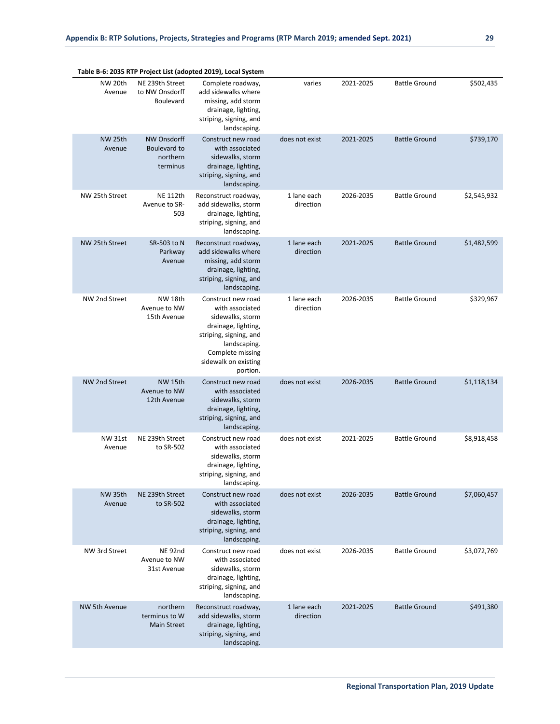|                          |                                                                   | Table B-6: 2035 RTP Project List (adopted 2019), Local System                                                                                                                      |                          |           |                      |             |
|--------------------------|-------------------------------------------------------------------|------------------------------------------------------------------------------------------------------------------------------------------------------------------------------------|--------------------------|-----------|----------------------|-------------|
| NW 20th<br>Avenue        | NE 239th Street<br>to NW Onsdorff<br><b>Boulevard</b>             | Complete roadway,<br>add sidewalks where<br>missing, add storm<br>drainage, lighting,<br>striping, signing, and<br>landscaping.                                                    | varies                   | 2021-2025 | <b>Battle Ground</b> | \$502,435   |
| NW 25th<br>Avenue        | <b>NW Onsdorff</b><br><b>Boulevard to</b><br>northern<br>terminus | Construct new road<br>with associated<br>sidewalks, storm<br>drainage, lighting,<br>striping, signing, and<br>landscaping.                                                         | does not exist           | 2021-2025 | <b>Battle Ground</b> | \$739,170   |
| NW 25th Street           | <b>NE 112th</b><br>Avenue to SR-<br>503                           | Reconstruct roadway,<br>add sidewalks, storm<br>drainage, lighting,<br>striping, signing, and<br>landscaping.                                                                      | 1 lane each<br>direction | 2026-2035 | <b>Battle Ground</b> | \$2,545,932 |
| NW 25th Street           | SR-503 to N<br>Parkway<br>Avenue                                  | Reconstruct roadway,<br>add sidewalks where<br>missing, add storm<br>drainage, lighting,<br>striping, signing, and<br>landscaping.                                                 | 1 lane each<br>direction | 2021-2025 | <b>Battle Ground</b> | \$1,482,599 |
| NW 2nd Street            | <b>NW 18th</b><br>Avenue to NW<br>15th Avenue                     | Construct new road<br>with associated<br>sidewalks, storm<br>drainage, lighting,<br>striping, signing, and<br>landscaping.<br>Complete missing<br>sidewalk on existing<br>portion. | 1 lane each<br>direction | 2026-2035 | <b>Battle Ground</b> | \$329,967   |
| NW 2nd Street            | <b>NW 15th</b><br>Avenue to NW<br>12th Avenue                     | Construct new road<br>with associated<br>sidewalks, storm<br>drainage, lighting,<br>striping, signing, and<br>landscaping.                                                         | does not exist           | 2026-2035 | <b>Battle Ground</b> | \$1,118,134 |
| <b>NW 31st</b><br>Avenue | NE 239th Street<br>to SR-502                                      | Construct new road<br>with associated<br>sidewalks, storm<br>drainage, lighting,<br>striping, signing, and<br>landscaping.                                                         | does not exist           | 2021-2025 | <b>Battle Ground</b> | \$8,918,458 |
| NW 35th<br>Avenue        | NE 239th Street<br>to SR-502                                      | Construct new road<br>with associated<br>sidewalks, storm<br>drainage, lighting,<br>striping, signing, and<br>landscaping.                                                         | does not exist           | 2026-2035 | <b>Battle Ground</b> | \$7,060,457 |
| NW 3rd Street            | NE <sub>92nd</sub><br>Avenue to NW<br>31st Avenue                 | Construct new road<br>with associated<br>sidewalks, storm<br>drainage, lighting,<br>striping, signing, and<br>landscaping.                                                         | does not exist           | 2026-2035 | <b>Battle Ground</b> | \$3,072,769 |
| <b>NW 5th Avenue</b>     | northern<br>terminus to W<br><b>Main Street</b>                   | Reconstruct roadway,<br>add sidewalks, storm<br>drainage, lighting,<br>striping, signing, and<br>landscaping.                                                                      | 1 lane each<br>direction | 2021-2025 | <b>Battle Ground</b> | \$491,380   |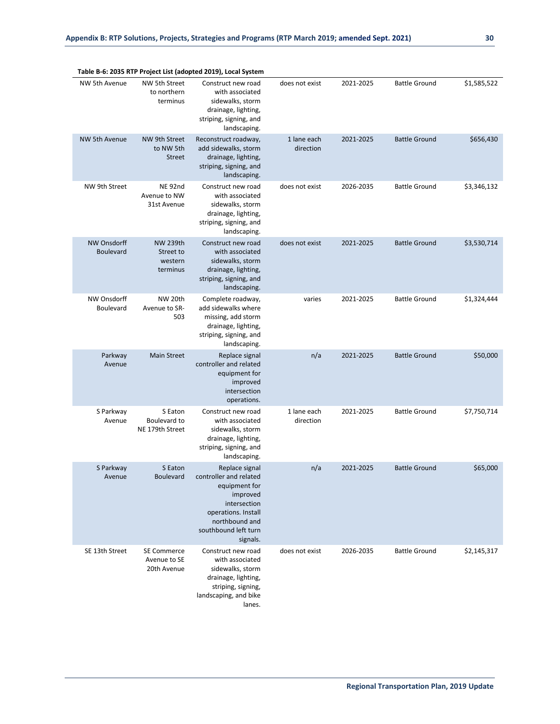| Table B-6: 2035 RTP Project List (adopted 2019), Local System |                                                     |                                                                                                                                                                    |                          |           |                      |             |  |  |
|---------------------------------------------------------------|-----------------------------------------------------|--------------------------------------------------------------------------------------------------------------------------------------------------------------------|--------------------------|-----------|----------------------|-------------|--|--|
| NW 5th Avenue                                                 | NW 5th Street<br>to northern<br>terminus            | Construct new road<br>with associated<br>sidewalks, storm<br>drainage, lighting,<br>striping, signing, and<br>landscaping.                                         | does not exist           | 2021-2025 | <b>Battle Ground</b> | \$1,585,522 |  |  |
| <b>NW 5th Avenue</b>                                          | NW 9th Street<br>to NW 5th<br><b>Street</b>         | Reconstruct roadway,<br>add sidewalks, storm<br>drainage, lighting,<br>striping, signing, and<br>landscaping.                                                      | 1 lane each<br>direction | 2021-2025 | <b>Battle Ground</b> | \$656,430   |  |  |
| NW 9th Street                                                 | NE <sub>92nd</sub><br>Avenue to NW<br>31st Avenue   | Construct new road<br>with associated<br>sidewalks, storm<br>drainage, lighting,<br>striping, signing, and<br>landscaping.                                         | does not exist           | 2026-2035 | <b>Battle Ground</b> | \$3,346,132 |  |  |
| <b>NW Onsdorff</b><br>Boulevard                               | <b>NW 239th</b><br>Street to<br>western<br>terminus | Construct new road<br>with associated<br>sidewalks, storm<br>drainage, lighting,<br>striping, signing, and<br>landscaping.                                         | does not exist           | 2021-2025 | <b>Battle Ground</b> | \$3,530,714 |  |  |
| NW Onsdorff<br>Boulevard                                      | NW 20th<br>Avenue to SR-<br>503                     | Complete roadway,<br>add sidewalks where<br>missing, add storm<br>drainage, lighting,<br>striping, signing, and<br>landscaping.                                    | varies                   | 2021-2025 | <b>Battle Ground</b> | \$1,324,444 |  |  |
| Parkway<br>Avenue                                             | <b>Main Street</b>                                  | Replace signal<br>controller and related<br>equipment for<br>improved<br>intersection<br>operations.                                                               | n/a                      | 2021-2025 | <b>Battle Ground</b> | \$50,000    |  |  |
| S Parkway<br>Avenue                                           | S Eaton<br>Boulevard to<br>NE 179th Street          | Construct new road<br>with associated<br>sidewalks, storm<br>drainage, lighting,<br>striping, signing, and<br>landscaping.                                         | 1 lane each<br>direction | 2021-2025 | <b>Battle Ground</b> | \$7,750,714 |  |  |
| S Parkway<br>Avenue                                           | S Eaton<br><b>Boulevard</b>                         | Replace signal<br>controller and related<br>equipment for<br>improved<br>intersection<br>operations. Install<br>northbound and<br>southbound left turn<br>signals. | n/a                      | 2021-2025 | <b>Battle Ground</b> | \$65,000    |  |  |
| SE 13th Street                                                | <b>SE Commerce</b><br>Avenue to SE<br>20th Avenue   | Construct new road<br>with associated<br>sidewalks, storm<br>drainage, lighting,<br>striping, signing,<br>landscaping, and bike<br>lanes.                          | does not exist           | 2026-2035 | <b>Battle Ground</b> | \$2,145,317 |  |  |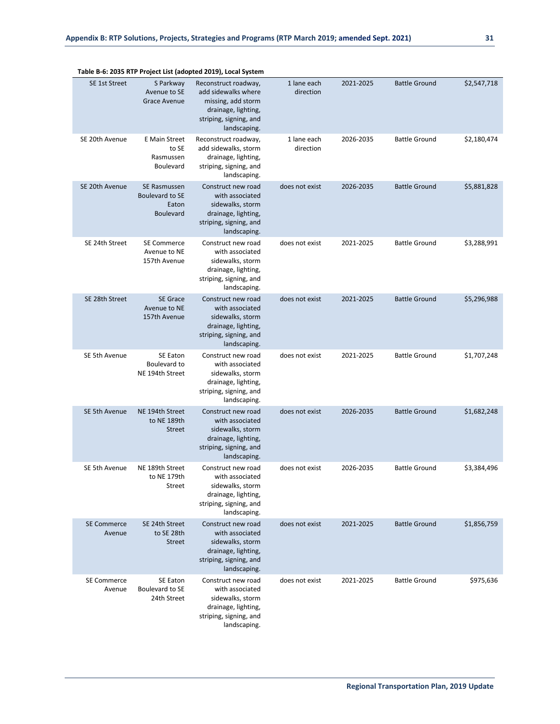|                              |                                                              | rable b-0. 2033 KTP Project List (auopteu 2013), Locar System                                                                      |                          |           |                      |             |
|------------------------------|--------------------------------------------------------------|------------------------------------------------------------------------------------------------------------------------------------|--------------------------|-----------|----------------------|-------------|
| SE 1st Street                | S Parkway<br>Avenue to SE<br>Grace Avenue                    | Reconstruct roadway,<br>add sidewalks where<br>missing, add storm<br>drainage, lighting,<br>striping, signing, and<br>landscaping. | 1 lane each<br>direction | 2021-2025 | <b>Battle Ground</b> | \$2,547,718 |
| SE 20th Avenue               | E Main Street<br>to SE<br>Rasmussen<br>Boulevard             | Reconstruct roadway,<br>add sidewalks, storm<br>drainage, lighting,<br>striping, signing, and<br>landscaping.                      | 1 lane each<br>direction | 2026-2035 | <b>Battle Ground</b> | \$2,180,474 |
| SE 20th Avenue               | SE Rasmussen<br>Boulevard to SE<br>Eaton<br><b>Boulevard</b> | Construct new road<br>with associated<br>sidewalks, storm<br>drainage, lighting,<br>striping, signing, and<br>landscaping.         | does not exist           | 2026-2035 | <b>Battle Ground</b> | \$5,881,828 |
| SE 24th Street               | <b>SE Commerce</b><br>Avenue to NE<br>157th Avenue           | Construct new road<br>with associated<br>sidewalks, storm<br>drainage, lighting,<br>striping, signing, and<br>landscaping.         | does not exist           | 2021-2025 | <b>Battle Ground</b> | \$3,288,991 |
| SE 28th Street               | <b>SE Grace</b><br>Avenue to NE<br>157th Avenue              | Construct new road<br>with associated<br>sidewalks, storm<br>drainage, lighting,<br>striping, signing, and<br>landscaping.         | does not exist           | 2021-2025 | <b>Battle Ground</b> | \$5,296,988 |
| SE 5th Avenue                | SE Eaton<br>Boulevard to<br>NE 194th Street                  | Construct new road<br>with associated<br>sidewalks, storm<br>drainage, lighting,<br>striping, signing, and<br>landscaping.         | does not exist           | 2021-2025 | <b>Battle Ground</b> | \$1,707,248 |
| SE 5th Avenue                | NE 194th Street<br>to NE 189th<br><b>Street</b>              | Construct new road<br>with associated<br>sidewalks, storm<br>drainage, lighting,<br>striping, signing, and<br>landscaping.         | does not exist           | 2026-2035 | <b>Battle Ground</b> | \$1,682,248 |
| SE 5th Avenue                | NE 189th Street<br>to NE 179th<br>Street                     | Construct new road<br>with associated<br>sidewalks, storm<br>drainage, lighting,<br>striping, signing, and<br>landscaping.         | does not exist           | 2026-2035 | <b>Battle Ground</b> | \$3,384,496 |
| <b>SE Commerce</b><br>Avenue | SE 24th Street<br>to SE 28th<br><b>Street</b>                | Construct new road<br>with associated<br>sidewalks, storm<br>drainage, lighting,<br>striping, signing, and<br>landscaping.         | does not exist           | 2021-2025 | <b>Battle Ground</b> | \$1,856,759 |
| <b>SE Commerce</b><br>Avenue | SE Eaton<br>Boulevard to SE<br>24th Street                   | Construct new road<br>with associated<br>sidewalks, storm<br>drainage, lighting,<br>striping, signing, and<br>landscaping.         | does not exist           | 2021-2025 | <b>Battle Ground</b> | \$975,636   |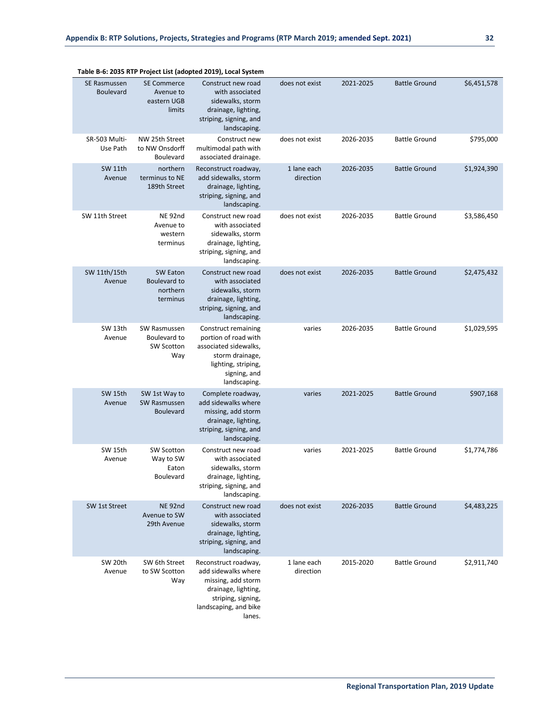|                                  |                                                          | rable b-0. 2000 KTF FT0Ject List (auopteu 2010), Local System                                                                                  |                          |           |                      |             |
|----------------------------------|----------------------------------------------------------|------------------------------------------------------------------------------------------------------------------------------------------------|--------------------------|-----------|----------------------|-------------|
| SE Rasmussen<br><b>Boulevard</b> | <b>SE Commerce</b><br>Avenue to<br>eastern UGB<br>limits | Construct new road<br>with associated<br>sidewalks, storm<br>drainage, lighting,<br>striping, signing, and<br>landscaping.                     | does not exist           | 2021-2025 | <b>Battle Ground</b> | \$6,451,578 |
| SR-503 Multi-<br>Use Path        | NW 25th Street<br>to NW Onsdorff<br>Boulevard            | Construct new<br>multimodal path with<br>associated drainage.                                                                                  | does not exist           | 2026-2035 | <b>Battle Ground</b> | \$795,000   |
| SW 11th<br>Avenue                | northern<br>terminus to NE<br>189th Street               | Reconstruct roadway,<br>add sidewalks, storm<br>drainage, lighting,<br>striping, signing, and<br>landscaping.                                  | 1 lane each<br>direction | 2026-2035 | <b>Battle Ground</b> | \$1,924,390 |
| SW 11th Street                   | NE 92nd<br>Avenue to<br>western<br>terminus              | Construct new road<br>with associated<br>sidewalks, storm<br>drainage, lighting,<br>striping, signing, and<br>landscaping.                     | does not exist           | 2026-2035 | <b>Battle Ground</b> | \$3,586,450 |
| SW 11th/15th<br>Avenue           | SW Eaton<br>Boulevard to<br>northern<br>terminus         | Construct new road<br>with associated<br>sidewalks, storm<br>drainage, lighting,<br>striping, signing, and<br>landscaping.                     | does not exist           | 2026-2035 | <b>Battle Ground</b> | \$2,475,432 |
| SW 13th<br>Avenue                | SW Rasmussen<br>Boulevard to<br>SW Scotton<br>Way        | Construct remaining<br>portion of road with<br>associated sidewalks,<br>storm drainage,<br>lighting, striping,<br>signing, and<br>landscaping. | varies                   | 2026-2035 | <b>Battle Ground</b> | \$1,029,595 |
| SW 15th<br>Avenue                | SW 1st Way to<br>SW Rasmussen<br><b>Boulevard</b>        | Complete roadway,<br>add sidewalks where<br>missing, add storm<br>drainage, lighting,<br>striping, signing, and<br>landscaping.                | varies                   | 2021-2025 | <b>Battle Ground</b> | \$907,168   |
| SW 15th<br>Avenue                | <b>SW Scotton</b><br>Way to SW<br>Eaton<br>Boulevard     | Construct new road<br>with associated<br>sidewalks, storm<br>drainage, lighting,<br>striping, signing, and<br>landscaping.                     | varies                   | 2021-2025 | <b>Battle Ground</b> | \$1,774,786 |
| SW 1st Street                    | <b>NE 92nd</b><br>Avenue to SW<br>29th Avenue            | Construct new road<br>with associated<br>sidewalks, storm<br>drainage, lighting,<br>striping, signing, and<br>landscaping.                     | does not exist           | 2026-2035 | <b>Battle Ground</b> | \$4,483,225 |
| SW 20th<br>Avenue                | SW 6th Street<br>to SW Scotton<br>Way                    | Reconstruct roadway,<br>add sidewalks where<br>missing, add storm<br>drainage, lighting,<br>striping, signing,<br>landscaping, and bike        | 1 lane each<br>direction | 2015-2020 | <b>Battle Ground</b> | \$2,911,740 |

lanes.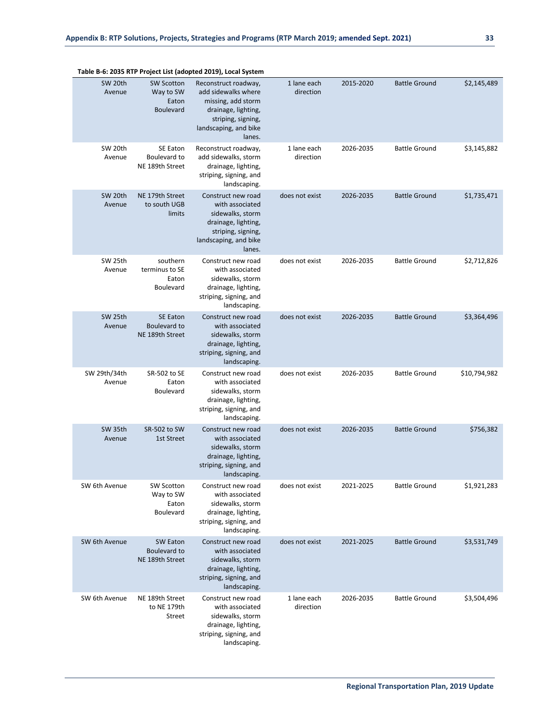|                        |                                                             | Table B-6: 2035 KTP Project List (adopted 2019), Local System                                                                                     |                          |           |                      |              |
|------------------------|-------------------------------------------------------------|---------------------------------------------------------------------------------------------------------------------------------------------------|--------------------------|-----------|----------------------|--------------|
| SW 20th<br>Avenue      | <b>SW Scotton</b><br>Way to SW<br>Eaton<br><b>Boulevard</b> | Reconstruct roadway,<br>add sidewalks where<br>missing, add storm<br>drainage, lighting,<br>striping, signing,<br>landscaping, and bike<br>lanes. | 1 lane each<br>direction | 2015-2020 | <b>Battle Ground</b> | \$2,145,489  |
| SW 20th<br>Avenue      | SE Eaton<br>Boulevard to<br>NE 189th Street                 | Reconstruct roadway,<br>add sidewalks, storm<br>drainage, lighting,<br>striping, signing, and<br>landscaping.                                     | 1 lane each<br>direction | 2026-2035 | <b>Battle Ground</b> | \$3,145,882  |
| SW 20th<br>Avenue      | NE 179th Street<br>to south UGB<br>limits                   | Construct new road<br>with associated<br>sidewalks, storm<br>drainage, lighting,<br>striping, signing,<br>landscaping, and bike<br>lanes.         | does not exist           | 2026-2035 | <b>Battle Ground</b> | \$1,735,471  |
| SW 25th<br>Avenue      | southern<br>terminus to SE<br>Eaton<br>Boulevard            | Construct new road<br>with associated<br>sidewalks, storm<br>drainage, lighting,<br>striping, signing, and<br>landscaping.                        | does not exist           | 2026-2035 | <b>Battle Ground</b> | \$2,712,826  |
| SW 25th<br>Avenue      | <b>SE Eaton</b><br>Boulevard to<br>NE 189th Street          | Construct new road<br>with associated<br>sidewalks, storm<br>drainage, lighting,<br>striping, signing, and<br>landscaping.                        | does not exist           | 2026-2035 | <b>Battle Ground</b> | \$3,364,496  |
| SW 29th/34th<br>Avenue | SR-502 to SE<br>Eaton<br>Boulevard                          | Construct new road<br>with associated<br>sidewalks, storm<br>drainage, lighting,<br>striping, signing, and<br>landscaping.                        | does not exist           | 2026-2035 | <b>Battle Ground</b> | \$10,794,982 |
| SW 35th<br>Avenue      | SR-502 to SW<br>1st Street                                  | Construct new road<br>with associated<br>sidewalks, storm<br>drainage, lighting,<br>striping, signing, and<br>landscaping.                        | does not exist           | 2026-2035 | <b>Battle Ground</b> | \$756,382    |
| SW 6th Avenue          | SW Scotton<br>Way to SW<br>Eaton<br>Boulevard               | Construct new road<br>with associated<br>sidewalks, storm<br>drainage, lighting,<br>striping, signing, and<br>landscaping.                        | does not exist           | 2021-2025 | <b>Battle Ground</b> | \$1,921,283  |
| SW 6th Avenue          | SW Eaton<br>Boulevard to<br>NE 189th Street                 | Construct new road<br>with associated<br>sidewalks, storm<br>drainage, lighting,<br>striping, signing, and<br>landscaping.                        | does not exist           | 2021-2025 | <b>Battle Ground</b> | \$3,531,749  |
| SW 6th Avenue          | NE 189th Street<br>to NE 179th<br><b>Street</b>             | Construct new road<br>with associated<br>sidewalks, storm<br>drainage, lighting,<br>striping, signing, and<br>landscaping.                        | 1 lane each<br>direction | 2026-2035 | <b>Battle Ground</b> | \$3,504,496  |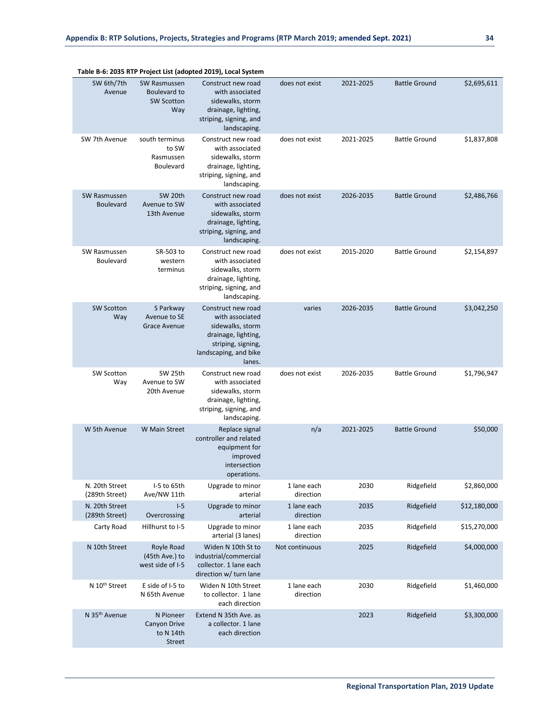|                                         |                                                          | Table B-6: 2035 KTP Project List (adopted 2019), Local System                                                                             |                          |           |                      |              |
|-----------------------------------------|----------------------------------------------------------|-------------------------------------------------------------------------------------------------------------------------------------------|--------------------------|-----------|----------------------|--------------|
| SW 6th/7th<br>Avenue                    | SW Rasmussen<br>Boulevard to<br><b>SW Scotton</b><br>Way | Construct new road<br>with associated<br>sidewalks, storm<br>drainage, lighting,<br>striping, signing, and<br>landscaping.                | does not exist           | 2021-2025 | <b>Battle Ground</b> | \$2,695,611  |
| SW 7th Avenue                           | south terminus<br>to SW<br>Rasmussen<br>Boulevard        | Construct new road<br>with associated<br>sidewalks, storm<br>drainage, lighting,<br>striping, signing, and<br>landscaping.                | does not exist           | 2021-2025 | <b>Battle Ground</b> | \$1,837,808  |
| <b>SW Rasmussen</b><br><b>Boulevard</b> | SW 20th<br>Avenue to SW<br>13th Avenue                   | Construct new road<br>with associated<br>sidewalks, storm<br>drainage, lighting,<br>striping, signing, and<br>landscaping.                | does not exist           | 2026-2035 | <b>Battle Ground</b> | \$2,486,766  |
| SW Rasmussen<br><b>Boulevard</b>        | SR-503 to<br>western<br>terminus                         | Construct new road<br>with associated<br>sidewalks, storm<br>drainage, lighting,<br>striping, signing, and<br>landscaping.                | does not exist           | 2015-2020 | <b>Battle Ground</b> | \$2,154,897  |
| <b>SW Scotton</b><br>Way                | S Parkway<br>Avenue to SE<br><b>Grace Avenue</b>         | Construct new road<br>with associated<br>sidewalks, storm<br>drainage, lighting,<br>striping, signing,<br>landscaping, and bike<br>lanes. | varies                   | 2026-2035 | <b>Battle Ground</b> | \$3,042,250  |
| SW Scotton<br>Way                       | SW 25th<br>Avenue to SW<br>20th Avenue                   | Construct new road<br>with associated<br>sidewalks, storm<br>drainage, lighting,<br>striping, signing, and<br>landscaping.                | does not exist           | 2026-2035 | <b>Battle Ground</b> | \$1,796,947  |
| W 5th Avenue                            | <b>W</b> Main Street                                     | Replace signal<br>controller and related<br>equipment for<br>improved<br>intersection<br>operations.                                      | n/a                      | 2021-2025 | <b>Battle Ground</b> | \$50,000     |
| N. 20th Street<br>(289th Street)        | I-5 to 65th<br>Ave/NW 11th                               | Upgrade to minor<br>arterial                                                                                                              | 1 lane each<br>direction | 2030      | Ridgefield           | \$2,860,000  |
| N. 20th Street<br>(289th Street)        | $I-5$<br>Overcrossing                                    | Upgrade to minor<br>arterial                                                                                                              | 1 lane each<br>direction | 2035      | Ridgefield           | \$12,180,000 |
| Carty Road                              | Hillhurst to I-5                                         | Upgrade to minor<br>arterial (3 lanes)                                                                                                    | 1 lane each<br>direction | 2035      | Ridgefield           | \$15,270,000 |
| N 10th Street                           | Royle Road<br>(45th Ave.) to<br>west side of I-5         | Widen N 10th St to<br>industrial/commercial<br>collector. 1 lane each<br>direction w/ turn lane                                           | Not continuous           | 2025      | Ridgefield           | \$4,000,000  |
| N 10 <sup>th</sup> Street               | E side of I-5 to<br>N 65th Avenue                        | Widen N 10th Street<br>to collector. 1 lane<br>each direction                                                                             | 1 lane each<br>direction | 2030      | Ridgefield           | \$1,460,000  |
| N 35 <sup>th</sup> Avenue               | N Pioneer<br>Canyon Drive<br>to N 14th<br><b>Street</b>  | Extend N 35th Ave. as<br>a collector. 1 lane<br>each direction                                                                            |                          | 2023      | Ridgefield           | \$3,300,000  |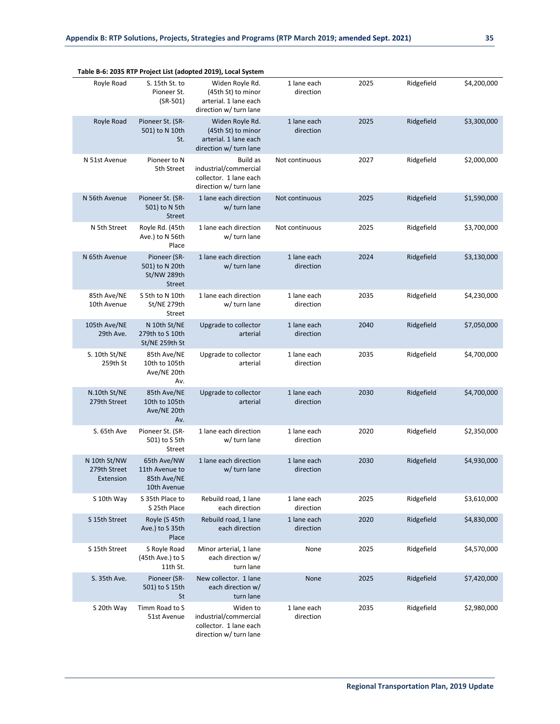|                                           |                                                                | Table B-6: 2035 RTP Project List (adopted 2019), Local System                            |                          |      |            |             |
|-------------------------------------------|----------------------------------------------------------------|------------------------------------------------------------------------------------------|--------------------------|------|------------|-------------|
| Royle Road                                | S. 15th St. to<br>Pioneer St.<br>$(SR-501)$                    | Widen Royle Rd.<br>(45th St) to minor<br>arterial. 1 lane each<br>direction w/ turn lane | 1 lane each<br>direction | 2025 | Ridgefield | \$4,200,000 |
| Royle Road                                | Pioneer St. (SR-<br>501) to N 10th<br>St.                      | Widen Royle Rd.<br>(45th St) to minor<br>arterial. 1 lane each<br>direction w/ turn lane | 1 lane each<br>direction | 2025 | Ridgefield | \$3,300,000 |
| N 51st Avenue                             | Pioneer to N<br>5th Street                                     | Build as<br>industrial/commercial<br>collector. 1 lane each<br>direction w/ turn lane    | Not continuous           | 2027 | Ridgefield | \$2,000,000 |
| N 56th Avenue                             | Pioneer St. (SR-<br>501) to N 5th<br><b>Street</b>             | 1 lane each direction<br>w/ turn lane                                                    | Not continuous           | 2025 | Ridgefield | \$1,590,000 |
| N 5th Street                              | Royle Rd. (45th<br>Ave.) to N 56th<br>Place                    | 1 lane each direction<br>w/ turn lane                                                    | Not continuous           | 2025 | Ridgefield | \$3,700,000 |
| N 65th Avenue                             | Pioneer (SR-<br>501) to N 20th<br>St/NW 289th<br><b>Street</b> | 1 lane each direction<br>w/ turn lane                                                    | 1 lane each<br>direction | 2024 | Ridgefield | \$3,130,000 |
| 85th Ave/NE<br>10th Avenue                | S 5th to N 10th<br>St/NE 279th<br>Street                       | 1 lane each direction<br>w/ turn lane                                                    | 1 lane each<br>direction | 2035 | Ridgefield | \$4,230,000 |
| 105th Ave/NE<br>29th Ave.                 | N 10th St/NE<br>279th to S 10th<br>St/NE 259th St              | Upgrade to collector<br>arterial                                                         | 1 lane each<br>direction | 2040 | Ridgefield | \$7,050,000 |
| S. 10th St/NE<br>259th St                 | 85th Ave/NE<br>10th to 105th<br>Ave/NE 20th<br>Av.             | Upgrade to collector<br>arterial                                                         | 1 lane each<br>direction | 2035 | Ridgefield | \$4,700,000 |
| N.10th St/NE<br>279th Street              | 85th Ave/NE<br>10th to 105th<br>Ave/NE 20th<br>Av.             | Upgrade to collector<br>arterial                                                         | 1 lane each<br>direction | 2030 | Ridgefield | \$4,700,000 |
| S. 65th Ave                               | Pioneer St. (SR-<br>501) to S 5th<br>Street                    | 1 lane each direction<br>w/ turn lane                                                    | 1 lane each<br>direction | 2020 | Ridgefield | \$2,350,000 |
| N 10th St/NW<br>279th Street<br>Extension | 65th Ave/NW<br>11th Avenue to<br>85th Ave/NE<br>10th Avenue    | 1 lane each direction<br>w/ turn lane                                                    | 1 lane each<br>direction | 2030 | Ridgefield | \$4,930,000 |
| S 10th Way                                | S 35th Place to<br>S 25th Place                                | Rebuild road, 1 lane<br>each direction                                                   | 1 lane each<br>direction | 2025 | Ridgefield | \$3,610,000 |
| S 15th Street                             | Royle (S 45th<br>Ave.) to S 35th<br>Place                      | Rebuild road, 1 lane<br>each direction                                                   | 1 lane each<br>direction | 2020 | Ridgefield | \$4,830,000 |
| S 15th Street                             | S Royle Road<br>(45th Ave.) to S<br>11th St.                   | Minor arterial, 1 lane<br>each direction w/<br>turn lane                                 | None                     | 2025 | Ridgefield | \$4,570,000 |
| S. 35th Ave.                              | Pioneer (SR-<br>501) to S 15th<br>St                           | New collector. 1 lane<br>each direction w/<br>turn lane                                  | None                     | 2025 | Ridgefield | \$7,420,000 |
| S 20th Way                                | Timm Road to S<br>51st Avenue                                  | Widen to<br>industrial/commercial<br>collector. 1 lane each<br>direction w/ turn lane    | 1 lane each<br>direction | 2035 | Ridgefield | \$2,980,000 |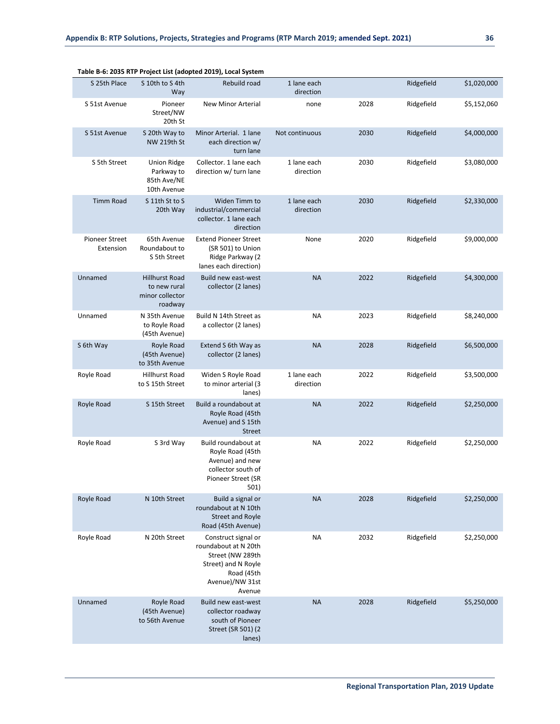|                                    |                                                                     | Table B-6: 2035 KTP Project List (adopted 2019), Local System                                                                     |                          |      |            |             |
|------------------------------------|---------------------------------------------------------------------|-----------------------------------------------------------------------------------------------------------------------------------|--------------------------|------|------------|-------------|
| S 25th Place                       | S 10th to S 4th<br>Way                                              | Rebuild road                                                                                                                      | 1 lane each<br>direction |      | Ridgefield | \$1,020,000 |
| S 51st Avenue                      | Pioneer<br>Street/NW<br>20th St                                     | <b>New Minor Arterial</b>                                                                                                         | none                     | 2028 | Ridgefield | \$5,152,060 |
| S 51st Avenue                      | S 20th Way to<br><b>NW 219th St</b>                                 | Minor Arterial. 1 lane<br>each direction w/<br>turn lane                                                                          | Not continuous           | 2030 | Ridgefield | \$4,000,000 |
| S 5th Street                       | Union Ridge<br>Parkway to<br>85th Ave/NE<br>10th Avenue             | Collector. 1 lane each<br>direction w/ turn lane                                                                                  | 1 lane each<br>direction | 2030 | Ridgefield | \$3,080,000 |
| <b>Timm Road</b>                   | S 11th St to S<br>20th Way                                          | Widen Timm to<br>industrial/commercial<br>collector. 1 lane each<br>direction                                                     | 1 lane each<br>direction | 2030 | Ridgefield | \$2,330,000 |
| <b>Pioneer Street</b><br>Extension | 65th Avenue<br>Roundabout to<br>S 5th Street                        | <b>Extend Pioneer Street</b><br>(SR 501) to Union<br>Ridge Parkway (2<br>lanes each direction)                                    | None                     | 2020 | Ridgefield | \$9,000,000 |
| Unnamed                            | <b>Hillhurst Road</b><br>to new rural<br>minor collector<br>roadway | Build new east-west<br>collector (2 lanes)                                                                                        | <b>NA</b>                | 2022 | Ridgefield | \$4,300,000 |
| Unnamed                            | N 35th Avenue<br>to Royle Road<br>(45th Avenue)                     | Build N 14th Street as<br>a collector (2 lanes)                                                                                   | <b>NA</b>                | 2023 | Ridgefield | \$8,240,000 |
| S 6th Way                          | Royle Road<br>(45th Avenue)<br>to 35th Avenue                       | Extend S 6th Way as<br>collector (2 lanes)                                                                                        | <b>NA</b>                | 2028 | Ridgefield | \$6,500,000 |
| Royle Road                         | Hillhurst Road<br>to S 15th Street                                  | Widen S Royle Road<br>to minor arterial (3<br>lanes)                                                                              | 1 lane each<br>direction | 2022 | Ridgefield | \$3,500,000 |
| Royle Road                         | S 15th Street                                                       | Build a roundabout at<br>Royle Road (45th<br>Avenue) and S 15th<br><b>Street</b>                                                  | <b>NA</b>                | 2022 | Ridgefield | \$2,250,000 |
| Royle Road                         | S 3rd Way                                                           | Build roundabout at<br>Royle Road (45th<br>Avenue) and new<br>collector south of<br>Pioneer Street (SR<br>501)                    | <b>NA</b>                | 2022 | Ridgefield | \$2,250,000 |
| Royle Road                         | N 10th Street                                                       | Build a signal or<br>roundabout at N 10th<br><b>Street and Royle</b><br>Road (45th Avenue)                                        | <b>NA</b>                | 2028 | Ridgefield | \$2,250,000 |
| Royle Road                         | N 20th Street                                                       | Construct signal or<br>roundabout at N 20th<br>Street (NW 289th<br>Street) and N Royle<br>Road (45th<br>Avenue)/NW 31st<br>Avenue | <b>NA</b>                | 2032 | Ridgefield | \$2,250,000 |
| Unnamed                            | Royle Road<br>(45th Avenue)<br>to 56th Avenue                       | Build new east-west<br>collector roadway<br>south of Pioneer<br>Street (SR 501) (2<br>lanes)                                      | <b>NA</b>                | 2028 | Ridgefield | \$5,250,000 |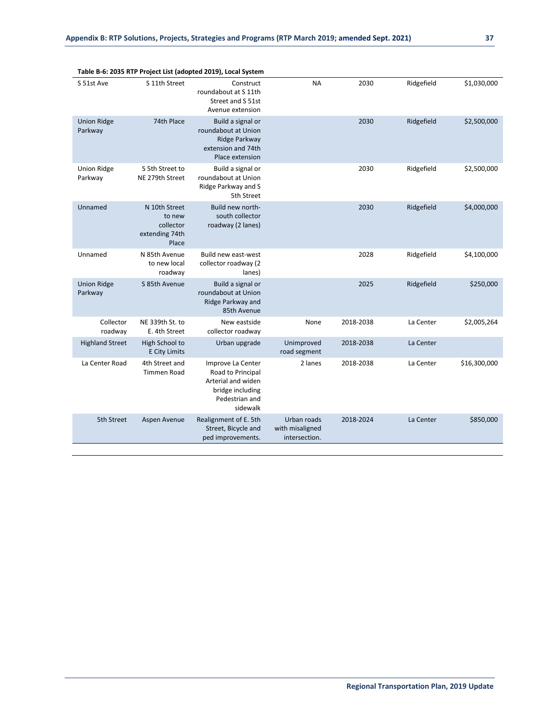| S 51st Ave                    | S 11th Street                                                   | <b>D</b> 0. 2000 KM Troject Est (adopted 2010), Local Dystem<br>Construct<br>roundabout at S 11th<br>Street and S 51st<br>Avenue extension | <b>NA</b>                                       | 2030      | Ridgefield | \$1,030,000  |
|-------------------------------|-----------------------------------------------------------------|--------------------------------------------------------------------------------------------------------------------------------------------|-------------------------------------------------|-----------|------------|--------------|
| <b>Union Ridge</b><br>Parkway | 74th Place                                                      | Build a signal or<br>roundabout at Union<br>Ridge Parkway<br>extension and 74th<br>Place extension                                         |                                                 | 2030      | Ridgefield | \$2,500,000  |
| <b>Union Ridge</b><br>Parkway | S 5th Street to<br>NE 279th Street                              | Build a signal or<br>roundabout at Union<br>Ridge Parkway and S<br>5th Street                                                              |                                                 | 2030      | Ridgefield | \$2,500,000  |
| Unnamed                       | N 10th Street<br>to new<br>collector<br>extending 74th<br>Place | Build new north-<br>south collector<br>roadway (2 lanes)                                                                                   |                                                 | 2030      | Ridgefield | \$4,000,000  |
| Unnamed                       | N 85th Avenue<br>to new local<br>roadway                        | Build new east-west<br>collector roadway (2<br>lanes)                                                                                      |                                                 | 2028      | Ridgefield | \$4,100,000  |
| <b>Union Ridge</b><br>Parkway | S 85th Avenue                                                   | Build a signal or<br>roundabout at Union<br>Ridge Parkway and<br>85th Avenue                                                               |                                                 | 2025      | Ridgefield | \$250,000    |
| Collector<br>roadway          | NE 339th St. to<br>E. 4th Street                                | New eastside<br>collector roadway                                                                                                          | None                                            | 2018-2038 | La Center  | \$2,005,264  |
| <b>Highland Street</b>        | High School to<br><b>E City Limits</b>                          | Urban upgrade                                                                                                                              | Unimproved<br>road segment                      | 2018-2038 | La Center  |              |
| La Center Road                | 4th Street and<br><b>Timmen Road</b>                            | Improve La Center<br>Road to Principal<br>Arterial and widen<br>bridge including<br>Pedestrian and<br>sidewalk                             | 2 lanes                                         | 2018-2038 | La Center  | \$16,300,000 |
| 5th Street                    | Aspen Avenue                                                    | Realignment of E. 5th<br>Street, Bicycle and<br>ped improvements.                                                                          | Urban roads<br>with misaligned<br>intersection. | 2018-2024 | La Center  | \$850,000    |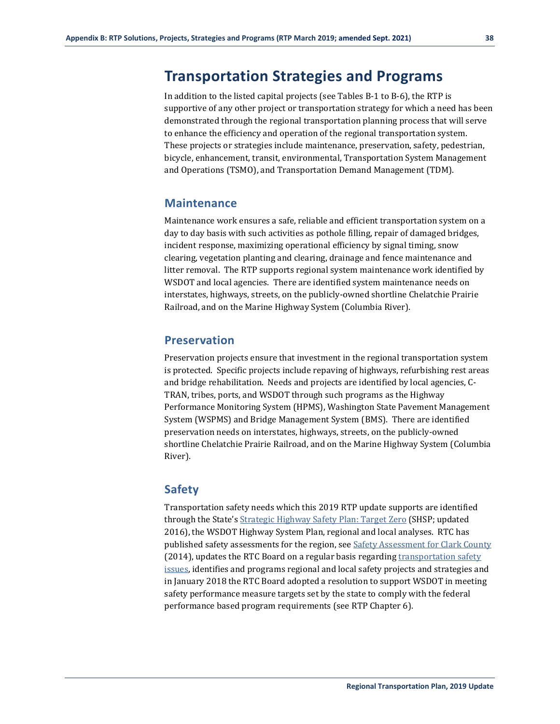## **Transportation Strategies and Programs**

In addition to the listed capital projects (see Tables B-1 to B-6), the RTP is supportive of any other project or transportation strategy for which a need has been demonstrated through the regional transportation planning process that will serve to enhance the efficiency and operation of the regional transportation system. These projects or strategies include maintenance, preservation, safety, pedestrian, bicycle, enhancement, transit, environmental, Transportation System Management and Operations (TSMO), and Transportation Demand Management (TDM).

## **Maintenance**

Maintenance work ensures a safe, reliable and efficient transportation system on a day to day basis with such activities as pothole filling, repair of damaged bridges, incident response, maximizing operational efficiency by signal timing, snow clearing, vegetation planting and clearing, drainage and fence maintenance and litter removal. The RTP supports regional system maintenance work identified by WSDOT and local agencies. There are identified system maintenance needs on interstates, highways, streets, on the publicly-owned shortline Chelatchie Prairie Railroad, and on the Marine Highway System (Columbia River).

## **Preservation**

Preservation projects ensure that investment in the regional transportation system is protected. Specific projects include repaving of highways, refurbishing rest areas and bridge rehabilitation. Needs and projects are identified by local agencies, C-TRAN, tribes, ports, and WSDOT through such programs as the Highway Performance Monitoring System (HPMS), Washington State Pavement Management System (WSPMS) and Bridge Management System (BMS). There are identified preservation needs on interstates, highways, streets, on the publicly-owned shortline Chelatchie Prairie Railroad, and on the Marine Highway System (Columbia River).

## **Safety**

Transportation safety needs which this 2019 RTP update supports are identified through the State'[s Strategic Highway Safety Plan: Target Zero](http://www.targetzero.com/plan.htm) (SHSP; updated 2016), the WSDOT Highway System Plan, regional and local analyses. RTC has published safety assessments for the region, se[e Safety Assessment for Clark County](https://www.rtc.wa.gov/reports/safety/SafetyMgmt2014.pdf) (2014), updates the RTC Board on a regular basis regarding transportation safety [issues,](https://www.rtc.wa.gov/reports/safety/SafetyMgmt2014.pdf) identifies and programs regional and local safety projects and strategies and in January 2018 the RTC Board adopted a resolution to support WSDOT in meeting safety performance measure targets set by the state to comply with the federal performance based program requirements (see RTP Chapter 6).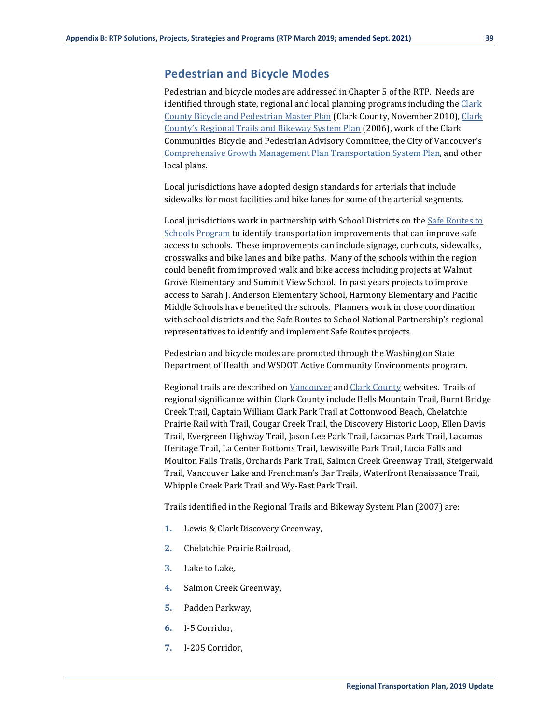## **Pedestrian and Bicycle Modes**

Pedestrian and bicycle modes are addressed in Chapter 5 of the RTP. Needs are identified through state, regional and local planning programs including the Clark County [Bicycle and Pedestrian Master Plan](https://www.clark.wa.gov/sites/default/files/dept/files/community-planning/bike-pedestrian-advisory-committee/10-1110_BPMP-Plan-wo-Appendices_PC_approved.pdf) (Clark County, November 2010)[, Clark](https://www.cityofvancouver.us/sites/default/files/fileattachments/parks_and_recreation/page/12805/2a_trailnetwork.pdf)  [County's Regional Trails and Bikeway System Plan](https://www.cityofvancouver.us/sites/default/files/fileattachments/parks_and_recreation/page/12805/2a_trailnetwork.pdf) (2006), work of the Clark Communities Bicycle and Pedestrian Advisory Committee, the City of Vancouver's [Comprehensive Growth Management Plan](https://www.cityofvancouver.us/sites/default/files/fileattachments/community_and_economic_development/page/1022/tsp_2004.pdf) Transportation System Plan, and other local plans.

Local jurisdictions have adopted design standards for arterials that include sidewalks for most facilities and bike lanes for some of the arterial segments.

Local jurisdictions work in partnership with School Districts on the [Safe Routes to](https://www.clark.wa.gov/public-health/safe-routes-schools)  [Schools Program](https://www.clark.wa.gov/public-health/safe-routes-schools) to identify transportation improvements that can improve safe access to schools. These improvements can include signage, curb cuts, sidewalks, crosswalks and bike lanes and bike paths. Many of the schools within the region could benefit from improved walk and bike access including projects at Walnut Grove Elementary and Summit View School. In past years projects to improve access to Sarah J. Anderson Elementary School, Harmony Elementary and Pacific Middle Schools have benefited the schools. Planners work in close coordination with school districts and the Safe Routes to School National Partnership's regional representatives to identify and implement Safe Routes projects.

Pedestrian and bicycle modes are promoted through the Washington State Department of Health and WSDOT Active Community Environments program.

Regional trails are described on [Vancouver](https://www.cityofvancouver.us/parksites?keys=&neighborhood=All&amenities=All&field_park_or_trail__tid%5B0%5D=141) an[d Clark County](https://www.clark.wa.gov/public-works/trails) websites. Trails of regional significance within Clark County include Bells Mountain Trail, Burnt Bridge Creek Trail, Captain William Clark Park Trail at Cottonwood Beach, Chelatchie Prairie Rail with Trail, Cougar Creek Trail, the Discovery Historic Loop, Ellen Davis Trail, Evergreen Highway Trail, Jason Lee Park Trail, Lacamas Park Trail, Lacamas Heritage Trail, La Center Bottoms Trail, Lewisville Park Trail, Lucia Falls and Moulton Falls Trails, Orchards Park Trail, Salmon Creek Greenway Trail, Steigerwald Trail, Vancouver Lake and Frenchman's Bar Trails, Waterfront Renaissance Trail, Whipple Creek Park Trail and Wy-East Park Trail.

Trails identified in the Regional Trails and Bikeway System Plan (2007) are:

- **1.** Lewis & Clark Discovery Greenway,
- **2.** Chelatchie Prairie Railroad,
- **3.** Lake to Lake,
- **4.** Salmon Creek Greenway,
- **5.** Padden Parkway,
- **6.** I-5 Corridor,
- **7.** I-205 Corridor,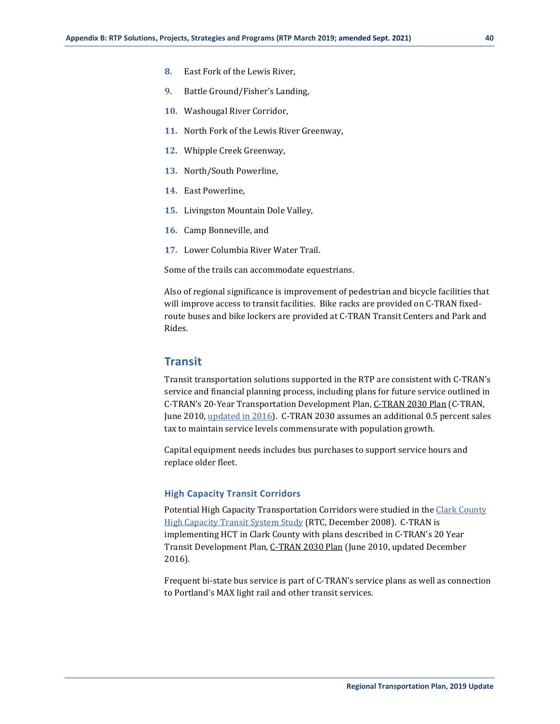- **8.** East Fork of the Lewis River,
- **9.** Battle Ground/Fisher's Landing,
- **10.** Washougal River Corridor,
- **11.** North Fork of the Lewis River Greenway,
- **12.** Whipple Creek Greenway,
- **13.** North/South Powerline,
- **14.** East Powerline,
- **15.** Livingston Mountain Dole Valley,
- **16.** Camp Bonneville, and
- **17.** Lower Columbia River Water Trail.

Some of the trails can accommodate equestrians.

Also of regional significance is improvement of pedestrian and bicycle facilities that will improve access to transit facilities. Bike racks are provided on C-TRAN fixedroute buses and bike lockers are provided at C-TRAN Transit Centers and Park and Rides.

## **Transit**

Transit transportation solutions supported in the RTP are consistent with C-TRAN's service and financial planning process, including plans for future service outlined in C-TRAN's 20-Year Transportation Development Plan, [C-TRAN 2030 Plan](https://www.c-tran.com/about-c-tran/reports/c-tran-2030) (C-TRAN, June 2010[, updated in 2016\)](https://www.c-tran.com/images/2030/Update/20_Year_Plan-2016_Update_For_Web_APPROVED_2016-12-13.pdf). C-TRAN 2030 assumes an additional 0.5 percent sales tax to maintain service levels commensurate with population growth.

Capital equipment needs includes bus purchases to support service hours and replace older fleet.

#### **High Capacity Transit Corridors**

Potential High Capacity Transportation Corridors were studied in the Clark County [High Capacity Transit System Study](https://www.rtc.wa.gov/reports/hct/rptHctSystemStudyFinal.pdf) (RTC, December 2008). C-TRAN is implementing HCT in Clark County with plans described in C-TRAN's 20 Year Transit Development Plan[, C-TRAN 2030 Plan](https://www.c-tran.com/about-c-tran/reports/c-tran-2030) (June 2010, updated December 2016).

Frequent bi-state bus service is part of C-TRAN's service plans as well as connection to Portland's MAX light rail and other transit services.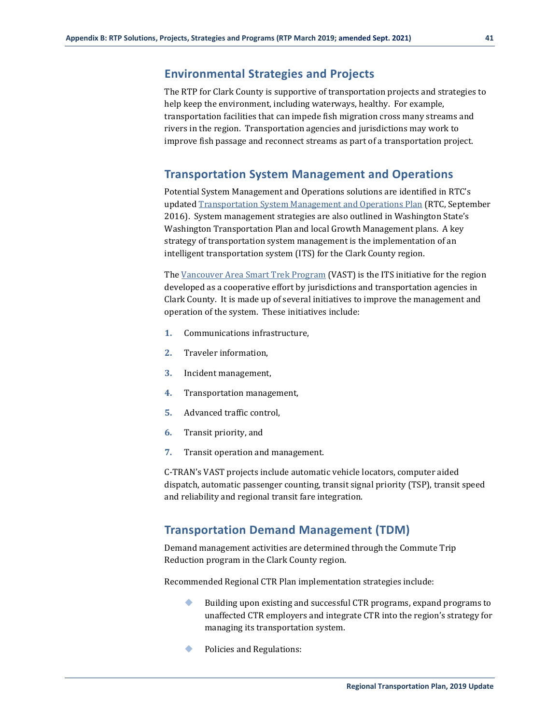The RTP for Clark County is supportive of transportation projects and strategies to help keep the environment, including waterways, healthy. For example, transportation facilities that can impede fish migration cross many streams and rivers in the region. Transportation agencies and jurisdictions may work to improve fish passage and reconnect streams as part of a transportation project.

## **Transportation System Management and Operations**

Potential System Management and Operations solutions are identified in RTC's update[d Transportation System Management and Operations Plan](https://www.rtc.wa.gov/programs/vast/docs/tsmoReport2016.pdf) (RTC, September 2016). System management strategies are also outlined in Washington State's Washington Transportation Plan and local Growth Management plans. A key strategy of transportation system management is the implementation of an intelligent transportation system (ITS) for the Clark County region.

Th[e Vancouver Area Smart Trek Program](https://www.rtc.wa.gov/programs/vast/docs/tsmoReport2016.pdf) (VAST) is the ITS initiative for the region developed as a cooperative effort by jurisdictions and transportation agencies in Clark County. It is made up of several initiatives to improve the management and operation of the system. These initiatives include:

- **1.** Communications infrastructure,
- **2.** Traveler information,
- **3.** Incident management,
- **4.** Transportation management,
- **5.** Advanced traffic control,
- **6.** Transit priority, and
- **7.** Transit operation and management.

C-TRAN's VAST projects include automatic vehicle locators, computer aided dispatch, automatic passenger counting, transit signal priority (TSP), transit speed and reliability and regional transit fare integration.

## **Transportation Demand Management (TDM)**

Demand management activities are determined through the Commute Trip Reduction program in the Clark County region.

Recommended Regional CTR Plan implementation strategies include:

- Building upon existing and successful CTR programs, expand programs to unaffected CTR employers and integrate CTR into the region's strategy for managing its transportation system.
- Policies and Regulations: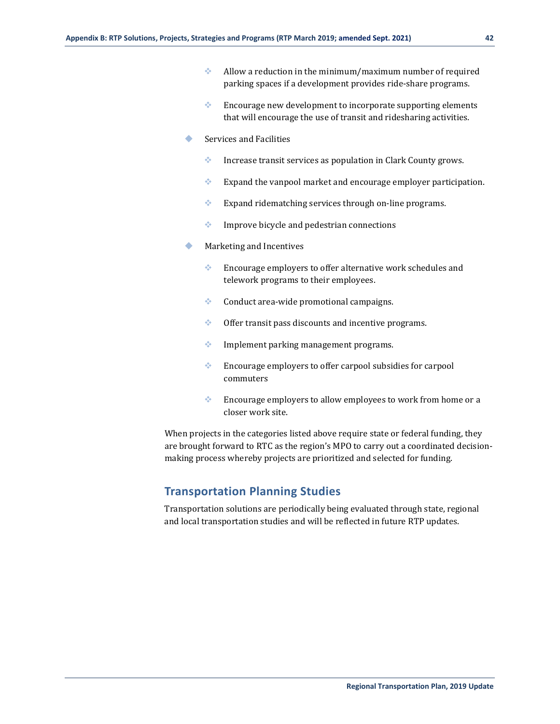- Allow a reduction in the minimum/maximum number of required parking spaces if a development provides ride-share programs.
- $\bullet$  Encourage new development to incorporate supporting elements that will encourage the use of transit and ridesharing activities.
- Services and Facilities
	- **Increase transit services as population in Clark County grows.**
	- $\bullet$  Expand the vanpool market and encourage employer participation.
	- Expand ridematching services through on-line programs.
	- Improve bicycle and pedestrian connections
- Marketing and Incentives
	- Encourage employers to offer alternative work schedules and telework programs to their employees.
	- Conduct area-wide promotional campaigns.
	- Offer transit pass discounts and incentive programs.
	- Implement parking management programs.
	- **Encourage employers to offer carpool subsidies for carpool** commuters
	- Encourage employers to allow employees to work from home or a closer work site.

When projects in the categories listed above require state or federal funding, they are brought forward to RTC as the region's MPO to carry out a coordinated decisionmaking process whereby projects are prioritized and selected for funding.

## **Transportation Planning Studies**

Transportation solutions are periodically being evaluated through state, regional and local transportation studies and will be reflected in future RTP updates.